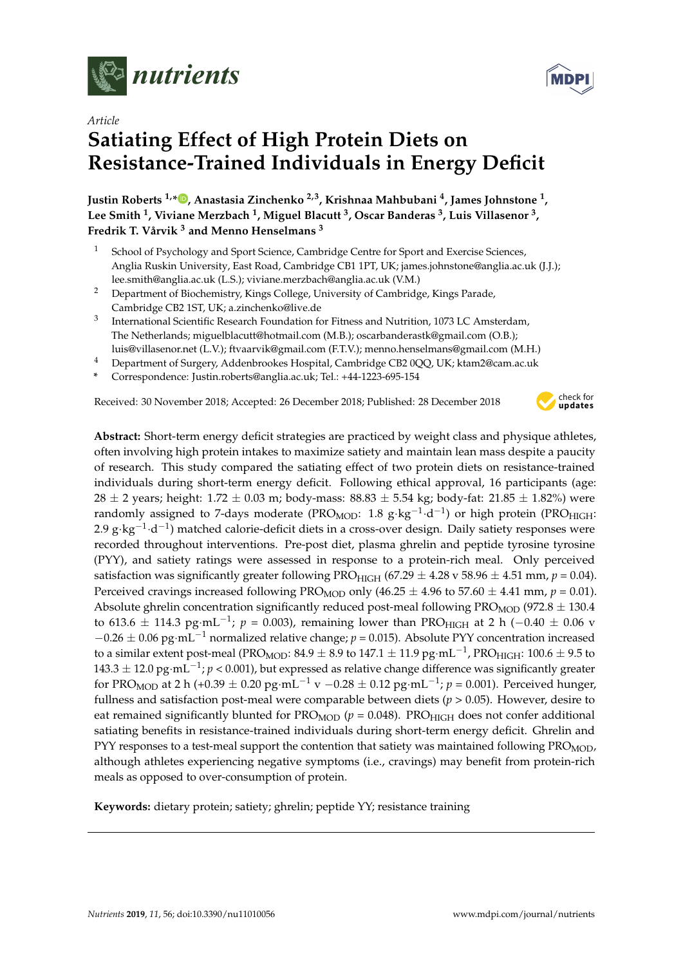

*Article*

# **Satiating Effect of High Protein Diets on Resistance-Trained Individuals in Energy Deficit**

**Justin Roberts 1,\* [,](https://orcid.org/0000-0002-3169-2041) Anastasia Zinchenko 2,3, Krishnaa Mahbubani <sup>4</sup> , James Johnstone <sup>1</sup> , Lee Smith <sup>1</sup> , Viviane Merzbach <sup>1</sup> , Miguel Blacutt <sup>3</sup> , Oscar Banderas <sup>3</sup> , Luis Villasenor <sup>3</sup> , Fredrik T. Vårvik <sup>3</sup> and Menno Henselmans <sup>3</sup>**

- School of Psychology and Sport Science, Cambridge Centre for Sport and Exercise Sciences, Anglia Ruskin University, East Road, Cambridge CB1 1PT, UK; james.johnstone@anglia.ac.uk (J.J.); lee.smith@anglia.ac.uk (L.S.); viviane.merzbach@anglia.ac.uk (V.M.)
- <sup>2</sup> Department of Biochemistry, Kings College, University of Cambridge, Kings Parade, Cambridge CB2 1ST, UK; a.zinchenko@live.de
- 3 International Scientific Research Foundation for Fitness and Nutrition, 1073 LC Amsterdam, The Netherlands; miguelblacutt@hotmail.com (M.B.); oscarbanderastk@gmail.com (O.B.); luis@villasenor.net (L.V.); ftvaarvik@gmail.com (F.T.V.); menno.henselmans@gmail.com (M.H.)
- <sup>4</sup> Department of Surgery, Addenbrookes Hospital, Cambridge CB2 0QQ, UK; ktam2@cam.ac.uk
- **\*** Correspondence: Justin.roberts@anglia.ac.uk; Tel.: +44-1223-695-154

Received: 30 November 2018; Accepted: 26 December 2018; Published: 28 December 2018



**Abstract:** Short-term energy deficit strategies are practiced by weight class and physique athletes, often involving high protein intakes to maximize satiety and maintain lean mass despite a paucity of research. This study compared the satiating effect of two protein diets on resistance-trained individuals during short-term energy deficit. Following ethical approval, 16 participants (age: 28  $\pm$  2 years; height: 1.72  $\pm$  0.03 m; body-mass: 88.83  $\pm$  5.54 kg; body-fat: 21.85  $\pm$  1.82%) were randomly assigned to 7-days moderate (PRO $_{\rm MOD}$ : 1.8 g·kg $^{-1}\cdot$ d $^{-1})$  or high protein (PRO $_{\rm HIGH}$ : 2.9 g⋅kg<sup>-1</sup>⋅d<sup>-1</sup>) matched calorie-deficit diets in a cross-over design. Daily satiety responses were recorded throughout interventions. Pre-post diet, plasma ghrelin and peptide tyrosine tyrosine (PYY), and satiety ratings were assessed in response to a protein-rich meal. Only perceived satisfaction was significantly greater following PRO<sub>HIGH</sub> (67.29  $\pm$  4.28 v 58.96  $\pm$  4.51 mm, *p* = 0.04). Perceived cravings increased following PRO<sub>MOD</sub> only (46.25  $\pm$  4.96 to 57.60  $\pm$  4.41 mm, *p* = 0.01). Absolute ghrelin concentration significantly reduced post-meal following  $PROMOD (972.8 \pm 130.4)$ to 613.6  $\pm$  114.3 pg·mL $^{-1}$ ;  $p$  = 0.003), remaining lower than PRO<sub>HIGH</sub> at 2 h ( $-0.40\,\pm\,0.06$  v −0.26 ± 0.06 pg·mL−<sup>1</sup> normalized relative change; *p* = 0.015). Absolute PYY concentration increased to a similar extent post-meal (PRO<sub>MOD</sub>: 84.9  $\pm$  8.9 to 147.1  $\pm$  11.9 pg·mL $^{-1}$ , PRO<sub>HIGH</sub>: 100.6  $\pm$  9.5 to 143.3 ± 12.0 pg·mL−<sup>1</sup> ; *p* < 0.001), but expressed as relative change difference was significantly greater for PRO<sub>MOD</sub> at 2 h (+0.39  $\pm$  0.20 pg·mL $^{-1}$  v  $-0.28\pm0.12$  pg·mL $^{-1}$ ;  $p$  = 0.001). Perceived hunger, fullness and satisfaction post-meal were comparable between diets (*p* > 0.05). However, desire to eat remained significantly blunted for  $PRO<sub>MOD</sub>$  ( $p = 0.048$ ).  $PRO<sub>HIGH</sub>$  does not confer additional satiating benefits in resistance-trained individuals during short-term energy deficit. Ghrelin and PYY responses to a test-meal support the contention that satiety was maintained following PRO<sub>MOD</sub>, although athletes experiencing negative symptoms (i.e., cravings) may benefit from protein-rich meals as opposed to over-consumption of protein.

**Keywords:** dietary protein; satiety; ghrelin; peptide YY; resistance training

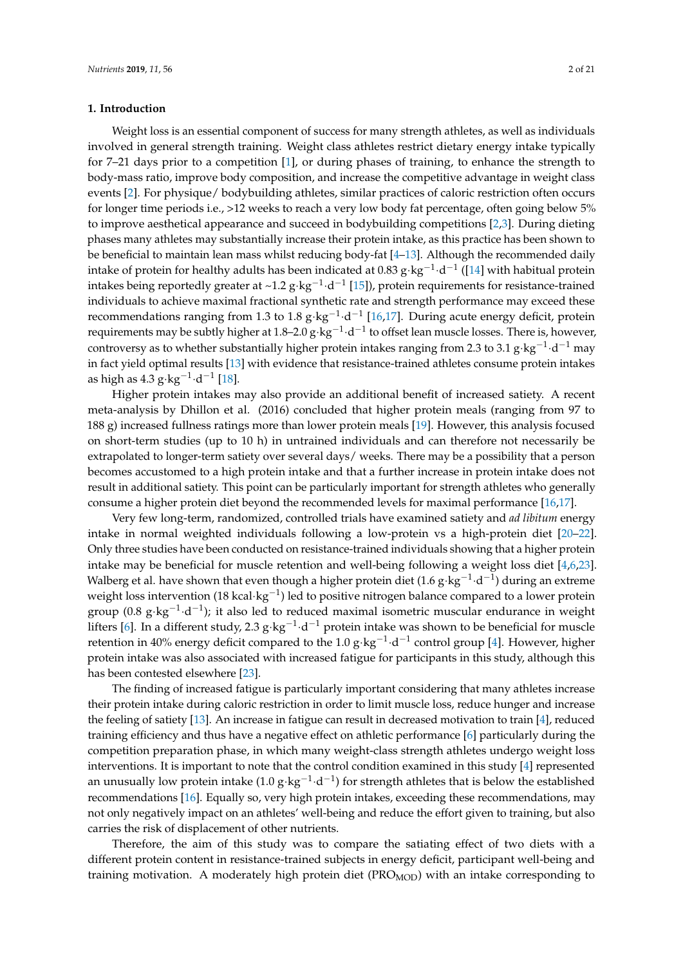# **1. Introduction**

Weight loss is an essential component of success for many strength athletes, as well as individuals involved in general strength training. Weight class athletes restrict dietary energy intake typically for 7–21 days prior to a competition [\[1\]](#page-16-0), or during phases of training, to enhance the strength to body-mass ratio, improve body composition, and increase the competitive advantage in weight class events [\[2\]](#page-16-1). For physique/ bodybuilding athletes, similar practices of caloric restriction often occurs for longer time periods i.e., >12 weeks to reach a very low body fat percentage, often going below 5% to improve aesthetical appearance and succeed in bodybuilding competitions [\[2,](#page-16-1)[3\]](#page-17-0). During dieting phases many athletes may substantially increase their protein intake, as this practice has been shown to be beneficial to maintain lean mass whilst reducing body-fat [\[4](#page-17-1)[–13\]](#page-17-2). Although the recommended daily intake of protein for healthy adults has been indicated at 0.83 g·kg<sup>-1.</sup>d<sup>-1</sup> ([\[14\]](#page-17-3) with habitual protein intakes being reportedly greater at ~1.2 g·kg<sup>-1</sup>·d<sup>-1</sup> [\[15\]](#page-17-4)), protein requirements for resistance-trained individuals to achieve maximal fractional synthetic rate and strength performance may exceed these recommendations ranging from 1.3 to 1.8 g⋅kg<sup>-1</sup>⋅d<sup>-1</sup> [\[16](#page-17-5)[,17\]](#page-17-6). During acute energy deficit, protein requirements may be subtly higher at 1.8–2.0 g $\cdot$ kg $^{-1}\cdot$ d $^{-1}$  to offset lean muscle losses. There is, however, controversy as to whether substantially higher protein intakes ranging from 2.3 to 3.1 g·kg<sup>-1</sup>·d<sup>-1</sup> may in fact yield optimal results [\[13\]](#page-17-2) with evidence that resistance-trained athletes consume protein intakes as high as  $4.3 \text{ g} \cdot \text{kg}^{-1} \cdot \text{d}^{-1}$  [\[18\]](#page-17-7).

Higher protein intakes may also provide an additional benefit of increased satiety. A recent meta-analysis by Dhillon et al. (2016) concluded that higher protein meals (ranging from 97 to 188 g) increased fullness ratings more than lower protein meals [\[19\]](#page-17-8). However, this analysis focused on short-term studies (up to 10 h) in untrained individuals and can therefore not necessarily be extrapolated to longer-term satiety over several days/ weeks. There may be a possibility that a person becomes accustomed to a high protein intake and that a further increase in protein intake does not result in additional satiety. This point can be particularly important for strength athletes who generally consume a higher protein diet beyond the recommended levels for maximal performance [\[16](#page-17-5)[,17\]](#page-17-6).

Very few long-term, randomized, controlled trials have examined satiety and *ad libitum* energy intake in normal weighted individuals following a low-protein vs a high-protein diet [\[20–](#page-17-9)[22\]](#page-17-10). Only three studies have been conducted on resistance-trained individuals showing that a higher protein intake may be beneficial for muscle retention and well-being following a weight loss diet [\[4,](#page-17-1)[6,](#page-17-11)[23\]](#page-17-12). Walberg et al. have shown that even though a higher protein diet (1.6  $\rm g$ ·kg<sup>-1.</sup>d<sup>-1</sup>) during an extreme weight loss intervention (18 kcal·kg<sup>-1</sup>) led to positive nitrogen balance compared to a lower protein group (0.8 g·kg<sup>-1</sup>·d<sup>-1</sup>); it also led to reduced maximal isometric muscular endurance in weight lifters [\[6\]](#page-17-11). In a different study, 2.3 g⋅kg<sup>−1</sup>⋅d<sup>−1</sup> protein intake was shown to be beneficial for muscle retention in 40% energy deficit compared to the 1.0 g·kg<sup>-1</sup>·d<sup>-1</sup> control group [\[4\]](#page-17-1). However, higher protein intake was also associated with increased fatigue for participants in this study, although this has been contested elsewhere [\[23\]](#page-17-12).

The finding of increased fatigue is particularly important considering that many athletes increase their protein intake during caloric restriction in order to limit muscle loss, reduce hunger and increase the feeling of satiety [\[13\]](#page-17-2). An increase in fatigue can result in decreased motivation to train [\[4\]](#page-17-1), reduced training efficiency and thus have a negative effect on athletic performance [\[6\]](#page-17-11) particularly during the competition preparation phase, in which many weight-class strength athletes undergo weight loss interventions. It is important to note that the control condition examined in this study [\[4\]](#page-17-1) represented an unusually low protein intake (1.0 g⋅kg<sup>-1</sup>⋅d<sup>-1</sup>) for strength athletes that is below the established recommendations [\[16\]](#page-17-5). Equally so, very high protein intakes, exceeding these recommendations, may not only negatively impact on an athletes' well-being and reduce the effort given to training, but also carries the risk of displacement of other nutrients.

Therefore, the aim of this study was to compare the satiating effect of two diets with a different protein content in resistance-trained subjects in energy deficit, participant well-being and training motivation. A moderately high protein diet  $(PRO<sub>MOD</sub>)$  with an intake corresponding to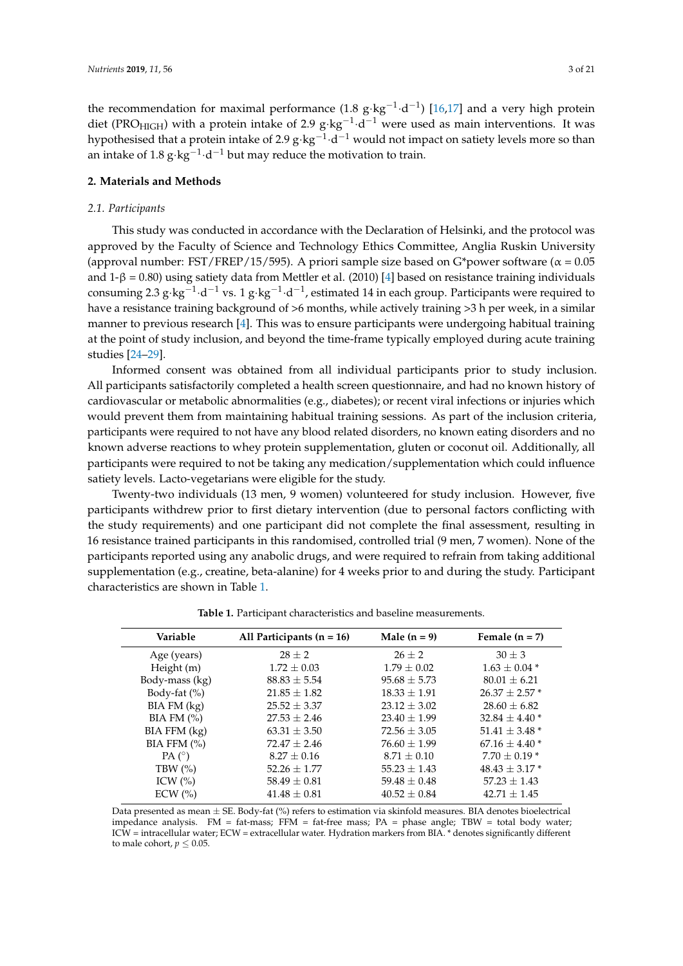the recommendation for maximal performance (1.8  $g$ ·kg<sup>-1</sup>·d<sup>-1</sup>) [\[16,](#page-17-5)[17\]](#page-17-6) and a very high protein diet (PRO<sub>HIGH</sub>) with a protein intake of 2.9 g⋅kg<sup>-1</sup>⋅d<sup>-1</sup> were used as main interventions. It was hypothesised that a protein intake of 2.9 g $\cdot$ kg $^{-1}\cdot$ d $^{-1}$  would not impact on satiety levels more so than an intake of 1.8 g⋅kg<sup>-1</sup>⋅d<sup>-1</sup> but may reduce the motivation to train.

# **2. Materials and Methods**

#### *2.1. Participants*

This study was conducted in accordance with the Declaration of Helsinki, and the protocol was approved by the Faculty of Science and Technology Ethics Committee, Anglia Ruskin University (approval number: FST/FREP/15/595). A priori sample size based on G\*power software ( $\alpha$  = 0.05 and 1-β = 0.80) using satiety data from Mettler et al. (2010) [\[4\]](#page-17-1) based on resistance training individuals consuming 2.3 g⋅kg<sup>-1</sup>⋅d<sup>-1</sup> vs. 1 g⋅kg<sup>-1</sup>⋅d<sup>-1</sup>, estimated 14 in each group. Participants were required to have a resistance training background of >6 months, while actively training >3 h per week, in a similar manner to previous research [\[4\]](#page-17-1). This was to ensure participants were undergoing habitual training at the point of study inclusion, and beyond the time-frame typically employed during acute training studies [\[24–](#page-18-0)[29\]](#page-18-1).

Informed consent was obtained from all individual participants prior to study inclusion. All participants satisfactorily completed a health screen questionnaire, and had no known history of cardiovascular or metabolic abnormalities (e.g., diabetes); or recent viral infections or injuries which would prevent them from maintaining habitual training sessions. As part of the inclusion criteria, participants were required to not have any blood related disorders, no known eating disorders and no known adverse reactions to whey protein supplementation, gluten or coconut oil. Additionally, all participants were required to not be taking any medication/supplementation which could influence satiety levels. Lacto-vegetarians were eligible for the study.

Twenty-two individuals (13 men, 9 women) volunteered for study inclusion. However, five participants withdrew prior to first dietary intervention (due to personal factors conflicting with the study requirements) and one participant did not complete the final assessment, resulting in 16 resistance trained participants in this randomised, controlled trial (9 men, 7 women). None of the participants reported using any anabolic drugs, and were required to refrain from taking additional supplementation (e.g., creatine, beta-alanine) for 4 weeks prior to and during the study. Participant characteristics are shown in Table [1.](#page-2-0)

<span id="page-2-0"></span>

| Variable          | All Participants $(n = 16)$ | Male $(n = 9)$   | Female $(n = 7)$   |
|-------------------|-----------------------------|------------------|--------------------|
| Age (years)       | $28 + 2$                    | $26 \pm 2$       | $30 \pm 3$         |
| Height (m)        | $1.72 \pm 0.03$             | $1.79 \pm 0.02$  | $1.63 \pm 0.04$ *  |
| Body-mass (kg)    | $88.83 \pm 5.54$            | $95.68 \pm 5.73$ | $80.01 \pm 6.21$   |
| Body-fat (%)      | $21.85 \pm 1.82$            | $18.33 \pm 1.91$ | $26.37 \pm 2.57$ * |
| BIA FM (kg)       | $25.52 \pm 3.37$            | $23.12 \pm 3.02$ | $28.60 \pm 6.82$   |
| BIA FM $(%)$      | $27.53 \pm 2.46$            | $23.40 \pm 1.99$ | $32.84 \pm 4.40*$  |
| BIA FFM (kg)      | $63.31 \pm 3.50$            | $72.56 \pm 3.05$ | $51.41 \pm 3.48$ * |
| $BIA$ FFM $(\% )$ | $72.47 \pm 2.46$            | $76.60 \pm 1.99$ | $67.16 \pm 4.40*$  |
| $PA(^{\circ})$    | $8.27 \pm 0.16$             | $8.71 \pm 0.10$  | $7.70 \pm 0.19*$   |
| TBW $(\%)$        | $52.26 \pm 1.77$            | $55.23 \pm 1.43$ | $48.43 \pm 3.17$ * |
| ICW $(%)$         | $58.49 \pm 0.81$            | $59.48 \pm 0.48$ | $57.23 \pm 1.43$   |
| $ECW$ $(\%)$      | $41.48 \pm 0.81$            | $40.52 \pm 0.84$ | $42.71 + 1.45$     |
|                   |                             |                  |                    |

**Table 1.** Participant characteristics and baseline measurements.

Data presented as mean  $\pm$  SE. Body-fat (%) refers to estimation via skinfold measures. BIA denotes bioelectrical impedance analysis. FM = fat-mass; FFM = fat-free mass; PA = phase angle; TBW = total body water; ICW = intracellular water; ECW = extracellular water. Hydration markers from BIA. \* denotes significantly different to male cohort,  $p < 0.05$ .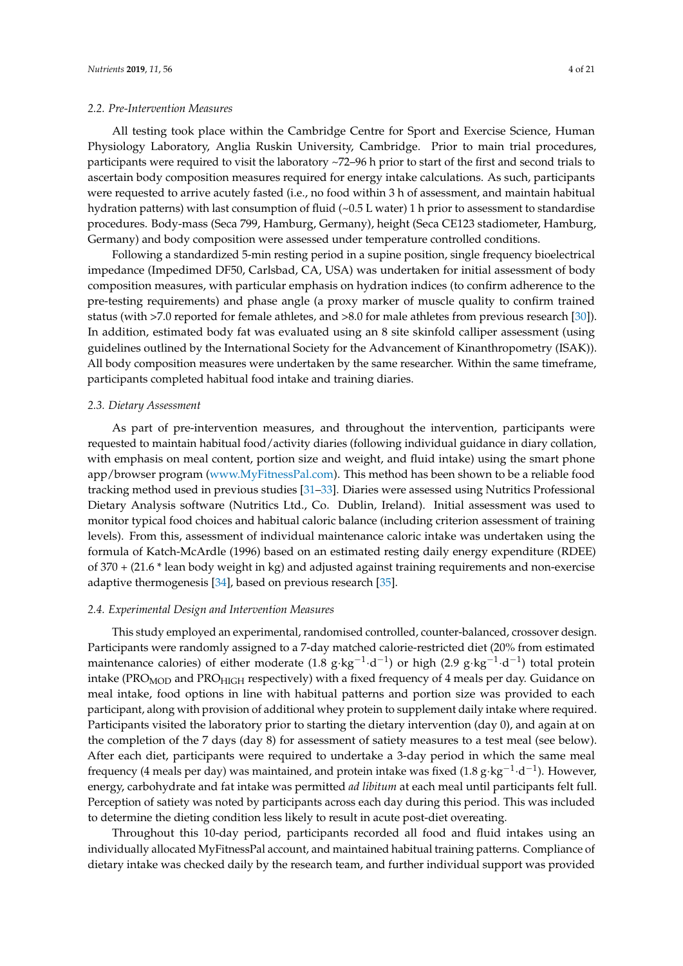#### *2.2. Pre-Intervention Measures*

All testing took place within the Cambridge Centre for Sport and Exercise Science, Human Physiology Laboratory, Anglia Ruskin University, Cambridge. Prior to main trial procedures, participants were required to visit the laboratory ~72–96 h prior to start of the first and second trials to ascertain body composition measures required for energy intake calculations. As such, participants were requested to arrive acutely fasted (i.e., no food within 3 h of assessment, and maintain habitual hydration patterns) with last consumption of fluid (~0.5 L water) 1 h prior to assessment to standardise procedures. Body-mass (Seca 799, Hamburg, Germany), height (Seca CE123 stadiometer, Hamburg, Germany) and body composition were assessed under temperature controlled conditions.

Following a standardized 5-min resting period in a supine position, single frequency bioelectrical impedance (Impedimed DF50, Carlsbad, CA, USA) was undertaken for initial assessment of body composition measures, with particular emphasis on hydration indices (to confirm adherence to the pre-testing requirements) and phase angle (a proxy marker of muscle quality to confirm trained status (with >7.0 reported for female athletes, and >8.0 for male athletes from previous research [\[30\]](#page-18-2)). In addition, estimated body fat was evaluated using an 8 site skinfold calliper assessment (using guidelines outlined by the International Society for the Advancement of Kinanthropometry (ISAK)). All body composition measures were undertaken by the same researcher. Within the same timeframe, participants completed habitual food intake and training diaries.

#### *2.3. Dietary Assessment*

As part of pre-intervention measures, and throughout the intervention, participants were requested to maintain habitual food/activity diaries (following individual guidance in diary collation, with emphasis on meal content, portion size and weight, and fluid intake) using the smart phone app/browser program [\(www.MyFitnessPal.com\)](www.MyFitnessPal.com). This method has been shown to be a reliable food tracking method used in previous studies [\[31–](#page-18-3)[33\]](#page-18-4). Diaries were assessed using Nutritics Professional Dietary Analysis software (Nutritics Ltd., Co. Dublin, Ireland). Initial assessment was used to monitor typical food choices and habitual caloric balance (including criterion assessment of training levels). From this, assessment of individual maintenance caloric intake was undertaken using the formula of Katch-McArdle (1996) based on an estimated resting daily energy expenditure (RDEE) of 370 + (21.6 \* lean body weight in kg) and adjusted against training requirements and non-exercise adaptive thermogenesis [\[34\]](#page-18-5), based on previous research [\[35\]](#page-18-6).

## *2.4. Experimental Design and Intervention Measures*

This study employed an experimental, randomised controlled, counter-balanced, crossover design. Participants were randomly assigned to a 7-day matched calorie-restricted diet (20% from estimated maintenance calories) of either moderate (1.8  $g \cdot kg^{-1} \cdot d^{-1}$ ) or high (2.9  $g \cdot kg^{-1} \cdot d^{-1}$ ) total protein intake (PRO<sub>MOD</sub> and PRO<sub>HIGH</sub> respectively) with a fixed frequency of 4 meals per day. Guidance on meal intake, food options in line with habitual patterns and portion size was provided to each participant, along with provision of additional whey protein to supplement daily intake where required. Participants visited the laboratory prior to starting the dietary intervention (day 0), and again at on the completion of the 7 days (day 8) for assessment of satiety measures to a test meal (see below). After each diet, participants were required to undertake a 3-day period in which the same meal frequency (4 meals per day) was maintained, and protein intake was fixed (1.8  $g \cdot kg^{-1} \cdot d^{-1}$ ). However, energy, carbohydrate and fat intake was permitted *ad libitum* at each meal until participants felt full. Perception of satiety was noted by participants across each day during this period. This was included to determine the dieting condition less likely to result in acute post-diet overeating.

Throughout this 10-day period, participants recorded all food and fluid intakes using an individually allocated MyFitnessPal account, and maintained habitual training patterns. Compliance of dietary intake was checked daily by the research team, and further individual support was provided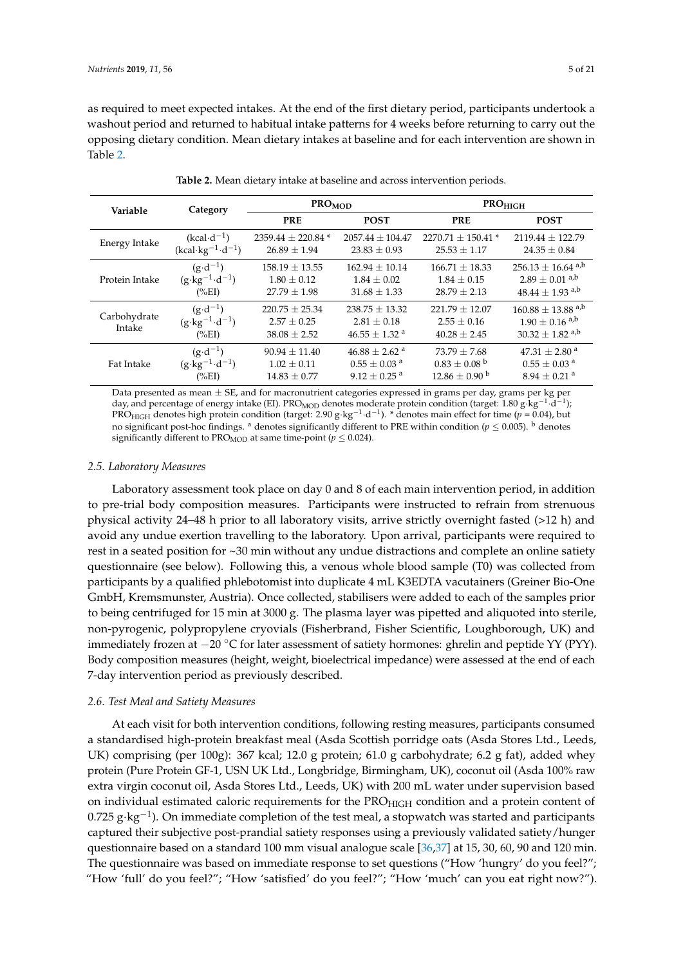as required to meet expected intakes. At the end of the first dietary period, participants undertook a washout period and returned to habitual intake patterns for 4 weeks before returning to carry out the opposing dietary condition. Mean dietary intakes at baseline and for each intervention are shown in Table [2.](#page-4-0)

<span id="page-4-0"></span>

| Variable               | Category                                                           | $PRO_{MOD}$                                               |                                                                        | $PRO_{HIGH}$                                              |                                                                                                        |  |
|------------------------|--------------------------------------------------------------------|-----------------------------------------------------------|------------------------------------------------------------------------|-----------------------------------------------------------|--------------------------------------------------------------------------------------------------------|--|
|                        |                                                                    | <b>PRE</b>                                                | <b>POST</b>                                                            | <b>PRE</b>                                                | <b>POST</b>                                                                                            |  |
| Energy Intake          | $(kcal \cdot d^{-1})$                                              | $2359.44 \pm 220.84$ *                                    | $2057.44 \pm 104.47$                                                   | $2270.71 \pm 150.41$ *                                    | $2119.44 \pm 122.79$                                                                                   |  |
|                        | $(kcal \cdot kg^{-1} \cdot d^{-1})$                                | $26.89 \pm 1.94$                                          | $23.83 \pm 0.93$                                                       | $25.53 \pm 1.17$                                          | $24.35 \pm 0.84$                                                                                       |  |
| Protein Intake         | $(g \cdot d^{-1})$                                                 | $158.19 \pm 13.55$                                        | $162.94 \pm 10.14$                                                     | $166.71 \pm 18.33$                                        | $256.13 \pm 16.64$ <sup>a,b</sup>                                                                      |  |
|                        | $(g \cdot kg^{-1} \cdot d^{-1})$                                   | $1.80 \pm 0.12$                                           | $1.84 \pm 0.02$                                                        | $1.84 \pm 0.15$                                           | $2.89 \pm 0.01$ <sup>a,b</sup>                                                                         |  |
|                        | $(\%EI)$                                                           | $27.79 \pm 1.98$                                          | $31.68 \pm 1.33$                                                       | $28.79 \pm 2.13$                                          | $48.44 \pm 1.93$ <sup>a,b</sup>                                                                        |  |
| Carbohydrate<br>Intake | $(g \cdot d^{-1})$<br>$(g \cdot kg^{-1} \cdot d^{-1})$<br>$(\%EI)$ | $220.75 \pm 25.34$<br>$2.57 \pm 0.25$<br>$38.08 \pm 2.52$ | $238.75 \pm 13.32$<br>$2.81 \pm 0.18$<br>$46.55 \pm 1.32$ <sup>a</sup> | $221.79 \pm 12.07$<br>$2.55 \pm 0.16$<br>$40.28 \pm 2.45$ | $160.88 \pm 13.88$ <sup>a,b</sup><br>$1.90 \pm 0.16$ <sup>a,b</sup><br>$30.32 \pm 1.82$ <sup>a,b</sup> |  |
| Fat Intake             | $(g \cdot d^{-1})$                                                 | $90.94 \pm 11.40$                                         | $46.88 \pm 2.62$ <sup>a</sup>                                          | $73.79 \pm 7.68$                                          | $47.31 \pm 2.80$ <sup>a</sup>                                                                          |  |
|                        | $(g \cdot kg^{-1} \cdot d^{-1})$                                   | $1.02 \pm 0.11$                                           | $0.55 \pm 0.03$ <sup>a</sup>                                           | $0.83 \pm 0.08$ <sup>b</sup>                              | $0.55 \pm 0.03$ <sup>a</sup>                                                                           |  |
|                        | $(\%EI)$                                                           | $14.83 \pm 0.77$                                          | $9.12 \pm 0.25$ <sup>a</sup>                                           | $12.86 \pm 0.90^{\mathrm{b}}$                             | $8.94 \pm 0.21$ <sup>a</sup>                                                                           |  |

**Table 2.** Mean dietary intake at baseline and across intervention periods.

Data presented as mean  $\pm$  SE, and for macronutrient categories expressed in grams per day, grams per kg per day, and percentage of energy intake (EI). PRO<sub>MOD</sub> denotes moderate protein condition (target: 1.80 g·kg<sup>-1</sup>·d<sup>-1</sup>); PRO<sub>HIGH</sub> denotes high protein condition (target: 2.90 g·kg<sup>-1</sup>·d<sup>-1</sup>). \* denotes main effect for time ( $p = 0.04$ ), but no significant post-hoc findings. <sup>a</sup> denotes significantly different to PRE within condition ( $p \le 0.005$ ). <sup>b</sup> denotes significantly different to PRO<sub>MOD</sub> at same time-point ( $p \leq 0.024$ ).

#### *2.5. Laboratory Measures*

Laboratory assessment took place on day 0 and 8 of each main intervention period, in addition to pre-trial body composition measures. Participants were instructed to refrain from strenuous physical activity 24–48 h prior to all laboratory visits, arrive strictly overnight fasted (>12 h) and avoid any undue exertion travelling to the laboratory. Upon arrival, participants were required to rest in a seated position for ~30 min without any undue distractions and complete an online satiety questionnaire (see below). Following this, a venous whole blood sample (T0) was collected from participants by a qualified phlebotomist into duplicate 4 mL K3EDTA vacutainers (Greiner Bio-One GmbH, Kremsmunster, Austria). Once collected, stabilisers were added to each of the samples prior to being centrifuged for 15 min at 3000 g. The plasma layer was pipetted and aliquoted into sterile, non-pyrogenic, polypropylene cryovials (Fisherbrand, Fisher Scientific, Loughborough, UK) and immediately frozen at −20 ◦C for later assessment of satiety hormones: ghrelin and peptide YY (PYY). Body composition measures (height, weight, bioelectrical impedance) were assessed at the end of each 7-day intervention period as previously described.

### *2.6. Test Meal and Satiety Measures*

At each visit for both intervention conditions, following resting measures, participants consumed a standardised high-protein breakfast meal (Asda Scottish porridge oats (Asda Stores Ltd., Leeds, UK) comprising (per 100g): 367 kcal; 12.0 g protein; 61.0 g carbohydrate; 6.2 g fat), added whey protein (Pure Protein GF-1, USN UK Ltd., Longbridge, Birmingham, UK), coconut oil (Asda 100% raw extra virgin coconut oil, Asda Stores Ltd., Leeds, UK) with 200 mL water under supervision based on individual estimated caloric requirements for the PRO<sub>HIGH</sub> condition and a protein content of  $0.725$  g·kg<sup>-1</sup>). On immediate completion of the test meal, a stopwatch was started and participants captured their subjective post-prandial satiety responses using a previously validated satiety/hunger questionnaire based on a standard 100 mm visual analogue scale [\[36,](#page-18-7)[37\]](#page-18-8) at 15, 30, 60, 90 and 120 min. The questionnaire was based on immediate response to set questions ("How 'hungry' do you feel?"; "How 'full' do you feel?"; "How 'satisfied' do you feel?"; "How 'much' can you eat right now?").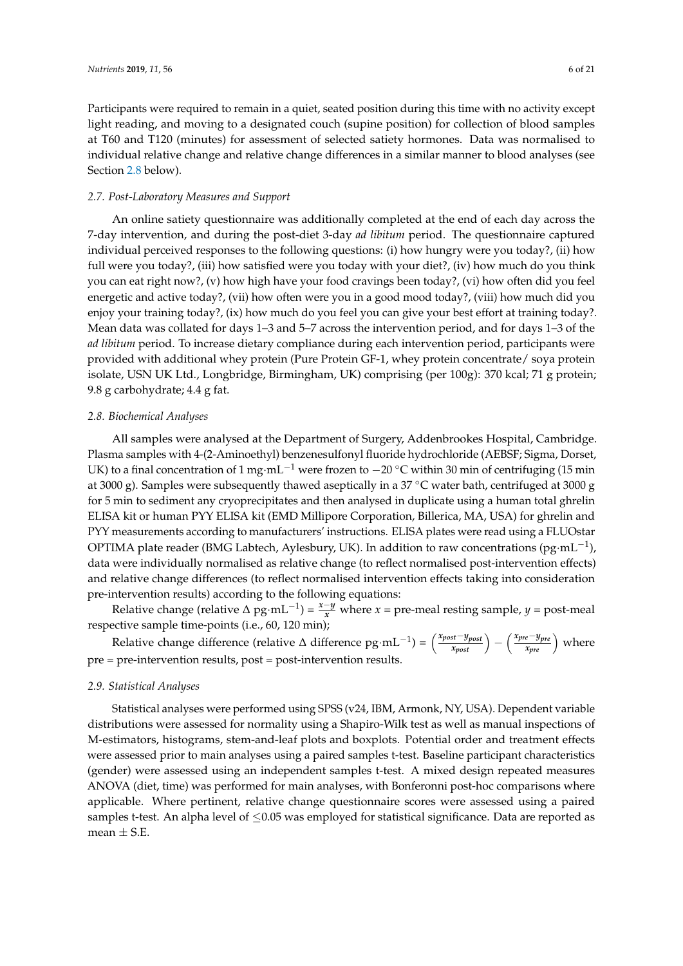Participants were required to remain in a quiet, seated position during this time with no activity except light reading, and moving to a designated couch (supine position) for collection of blood samples at T60 and T120 (minutes) for assessment of selected satiety hormones. Data was normalised to individual relative change and relative change differences in a similar manner to blood analyses (see Section [2.8](#page-5-0) below).

#### *2.7. Post-Laboratory Measures and Support*

An online satiety questionnaire was additionally completed at the end of each day across the 7-day intervention, and during the post-diet 3-day *ad libitum* period. The questionnaire captured individual perceived responses to the following questions: (i) how hungry were you today?, (ii) how full were you today?, (iii) how satisfied were you today with your diet?, (iv) how much do you think you can eat right now?, (v) how high have your food cravings been today?, (vi) how often did you feel energetic and active today?, (vii) how often were you in a good mood today?, (viii) how much did you enjoy your training today?, (ix) how much do you feel you can give your best effort at training today?. Mean data was collated for days 1–3 and 5–7 across the intervention period, and for days 1–3 of the *ad libitum* period. To increase dietary compliance during each intervention period, participants were provided with additional whey protein (Pure Protein GF-1, whey protein concentrate/ soya protein isolate, USN UK Ltd., Longbridge, Birmingham, UK) comprising (per 100g): 370 kcal; 71 g protein; 9.8 g carbohydrate; 4.4 g fat.

# <span id="page-5-0"></span>*2.8. Biochemical Analyses*

All samples were analysed at the Department of Surgery, Addenbrookes Hospital, Cambridge. Plasma samples with 4-(2-Aminoethyl) benzenesulfonyl fluoride hydrochloride (AEBSF; Sigma, Dorset, UK) to a final concentration of 1 mg·mL<sup>-1</sup> were frozen to  $-20$  °C within 30 min of centrifuging (15 min at 3000 g). Samples were subsequently thawed aseptically in a 37 ◦C water bath, centrifuged at 3000 g for 5 min to sediment any cryoprecipitates and then analysed in duplicate using a human total ghrelin ELISA kit or human PYY ELISA kit (EMD Millipore Corporation, Billerica, MA, USA) for ghrelin and PYY measurements according to manufacturers' instructions. ELISA plates were read using a FLUOstar OPTIMA plate reader (BMG Labtech, Aylesbury, UK). In addition to raw concentrations (pg·mL<sup>-1</sup>), data were individually normalised as relative change (to reflect normalised post-intervention effects) and relative change differences (to reflect normalised intervention effects taking into consideration pre-intervention results) according to the following equations:

Relative change (relative  $\triangle$  pg·mL<sup>-1</sup>) =  $\frac{x-y}{x}$  where *x* = pre-meal resting sample, *y* = post-meal respective sample time-points (i.e., 60, 120 min);

Relative change difference (relative  $\Delta$  difference  $pg \cdot mL^{-1}$ ) =  $\left(\frac{x_{post}-y_{post}}{x_{post}}\right) - \left(\frac{x_{pre}-y_{pre}}{x_{pre}}\right)$  where pre = pre-intervention results, post = post-intervention results.

#### *2.9. Statistical Analyses*

Statistical analyses were performed using SPSS (v24, IBM, Armonk, NY, USA). Dependent variable distributions were assessed for normality using a Shapiro-Wilk test as well as manual inspections of M-estimators, histograms, stem-and-leaf plots and boxplots. Potential order and treatment effects were assessed prior to main analyses using a paired samples t-test. Baseline participant characteristics (gender) were assessed using an independent samples t-test. A mixed design repeated measures ANOVA (diet, time) was performed for main analyses, with Bonferonni post-hoc comparisons where applicable. Where pertinent, relative change questionnaire scores were assessed using a paired samples t-test. An alpha level of ≤0.05 was employed for statistical significance. Data are reported as mean  $\pm$  S.E.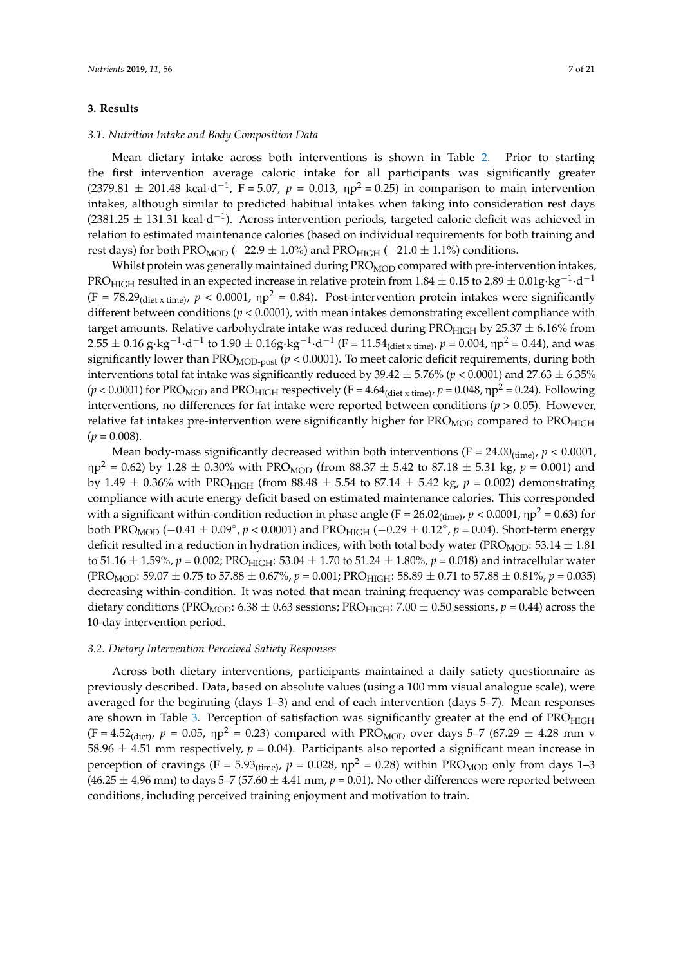# **3. Results**

## *3.1. Nutrition Intake and Body Composition Data*

Mean dietary intake across both interventions is shown in Table [2.](#page-4-0) Prior to starting the first intervention average caloric intake for all participants was significantly greater  $(2379.81 \pm 201.48 \text{ kcal} \cdot \text{d}^{-1}$ , F = 5.07,  $p = 0.013$ ,  $np^2 = 0.25$ ) in comparison to main intervention intakes, although similar to predicted habitual intakes when taking into consideration rest days  $(2381.25 \pm 131.31 \text{ kcal} \cdot d^{-1})$ . Across intervention periods, targeted caloric deficit was achieved in relation to estimated maintenance calories (based on individual requirements for both training and rest days) for both PRO<sub>MOD</sub> (−22.9  $\pm$  1.0%) and PRO<sub>HIGH</sub> (−21.0  $\pm$  1.1%) conditions.

Whilst protein was generally maintained during  $PRO<sub>MOD</sub>$  compared with pre-intervention intakes, PRO $_{\rm HIGH}$  resulted in an expected increase in relative protein from 1.84  $\pm$  0.15 to 2.89  $\pm$  0.01g·kg $^{-1}\cdot$ d $^{-1}$  $(F = 78.29_{\text{(diel x time)}}$ ,  $p < 0.0001$ ,  $np^2 = 0.84$ ). Post-intervention protein intakes were significantly different between conditions (*p* < 0.0001), with mean intakes demonstrating excellent compliance with target amounts. Relative carbohydrate intake was reduced during PRO $_{\text{HIGH}}$  by 25.37  $\pm$  6.16% from  $2.55\pm0.16$  g·kg<sup>−1</sup>·d<sup>−1</sup> to  $1.90\pm0.16$ g·kg<sup>−1</sup>·d<sup>−1</sup> (F =  $11.54$ <sub>(diet x time)</sub>, p = 0.004, ηp<sup>2</sup> = 0.44), and was significantly lower than PRO<sub>MOD-post</sub>  $(p < 0.0001)$ . To meet caloric deficit requirements, during both interventions total fat intake was significantly reduced by  $39.42 \pm 5.76\%$  ( $p < 0.0001$ ) and  $27.63 \pm 6.35\%$ ( $p$  < 0.0001) for PRO<sub>MOD</sub> and PRO<sub>HIGH</sub> respectively (F = 4.64<sub>(diet x time)</sub>,  $p$  = 0.048,  $np^2$  = 0.24). Following interventions, no differences for fat intake were reported between conditions ( $p > 0.05$ ). However, relative fat intakes pre-intervention were significantly higher for PRO<sub>MOD</sub> compared to PRO<sub>HIGH</sub>  $(p = 0.008)$ .

Mean body-mass significantly decreased within both interventions ( $F = 24.00<sub>(time)</sub>$ ,  $p < 0.0001$ ,  $\rm{mp^2}$  = 0.62) by 1.28  $\pm$  0.30% with PRO<sub>MOD</sub> (from 88.37  $\pm$  5.42 to 87.18  $\pm$  5.31 kg,  $p$  = 0.001) and by 1.49  $\pm$  0.36% with PRO<sub>HIGH</sub> (from 88.48  $\pm$  5.54 to 87.14  $\pm$  5.42 kg,  $p = 0.002$ ) demonstrating compliance with acute energy deficit based on estimated maintenance calories. This corresponded with a significant within-condition reduction in phase angle  $(F = 26.02<sub>(time)</sub>$ ,  $p < 0.0001$ ,  $np<sup>2</sup> = 0.63$ ) for both PRO<sub>MOD</sub> ( $-0.41 \pm 0.09^{\circ}$ ,  $p < 0.0001$ ) and PRO<sub>HIGH</sub> ( $-0.29 \pm 0.12^{\circ}$ ,  $p = 0.04$ ). Short-term energy deficit resulted in a reduction in hydration indices, with both total body water (PRO<sub>MOD</sub>: 53.14  $\pm$  1.81) to 51.16  $\pm$  1.59%, *p* = 0.002; PRO<sub>HIGH</sub>: 53.04  $\pm$  1.70 to 51.24  $\pm$  1.80%, *p* = 0.018) and intracellular water  $(PROMOD: 59.07 \pm 0.75 \text{ to } 57.88 \pm 0.67\%, p = 0.001; PRO<sub>HIGH</sub>: 58.89 \pm 0.71 \text{ to } 57.88 \pm 0.81\%, p = 0.035)$ decreasing within-condition. It was noted that mean training frequency was comparable between dietary conditions (PRO<sub>MOD</sub>: 6.38  $\pm$  0.63 sessions; PRO<sub>HIGH</sub>: 7.00  $\pm$  0.50 sessions, *p* = 0.44) across the 10-day intervention period.

#### *3.2. Dietary Intervention Perceived Satiety Responses*

Across both dietary interventions, participants maintained a daily satiety questionnaire as previously described. Data, based on absolute values (using a 100 mm visual analogue scale), were averaged for the beginning (days 1–3) and end of each intervention (days 5–7). Mean responses are shown in Table [3.](#page-7-0) Perception of satisfaction was significantly greater at the end of PRO<sub>HIGH</sub> (F = 4.52<sub>(diet)</sub>,  $p = 0.05$ ,  $np^2 = 0.23$ ) compared with PRO<sub>MOD</sub> over days 5–7 (67.29  $\pm$  4.28 mm v 58.96  $\pm$  4.51 mm respectively,  $p = 0.04$ ). Participants also reported a significant mean increase in perception of cravings  $(F = 5.93_{(time)}$ ,  $p = 0.028$ ,  $np^2 = 0.28$ ) within PRO<sub>MOD</sub> only from days 1–3  $(46.25 \pm 4.96 \text{ mm})$  to days 5–7 (57.60  $\pm$  4.41 mm,  $p = 0.01$ ). No other differences were reported between conditions, including perceived training enjoyment and motivation to train.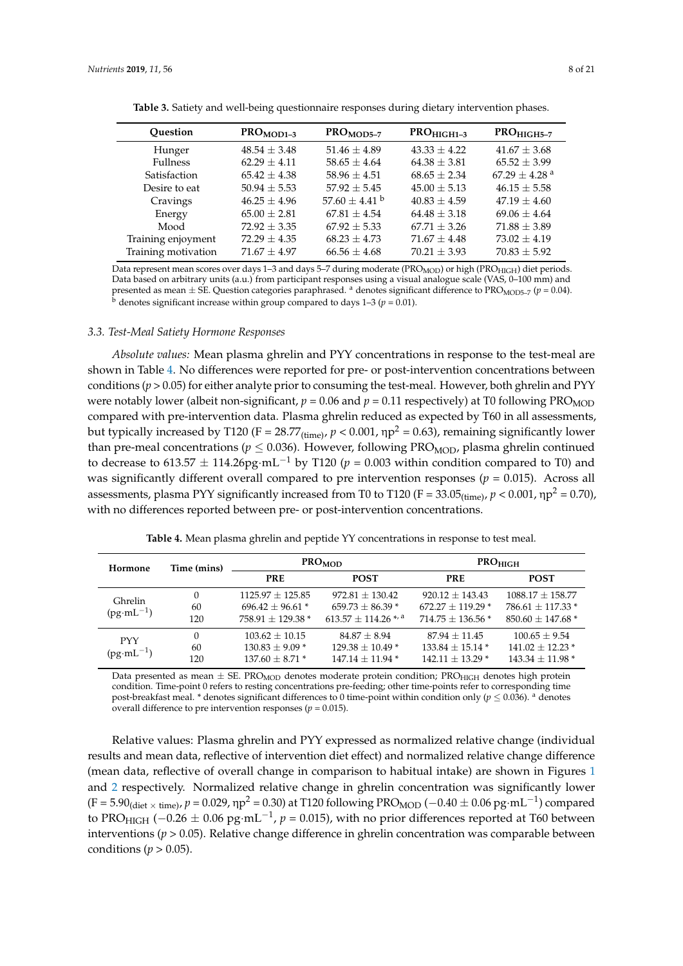<span id="page-7-0"></span>

| Ouestion            | $PROMOD1-3$      | $PROMOD5-7$                   | $PROHIGH1-3$     | $PROHIGH5-7$                |
|---------------------|------------------|-------------------------------|------------------|-----------------------------|
| Hunger              | $48.54 \pm 3.48$ | $51.46 \pm 4.89$              | $43.33 + 4.22$   | $41.67 \pm 3.68$            |
| <b>Fullness</b>     | $62.29 + 4.11$   | $58.65 \pm 4.64$              | $64.38 \pm 3.81$ | $65.52 \pm 3.99$            |
| Satisfaction        | $65.42 + 4.38$   | $58.96 + 4.51$                | $68.65 + 2.34$   | $67.29 + 4.28$ <sup>a</sup> |
| Desire to eat       | $50.94 + 5.53$   | $57.92 + 5.45$                | $45.00 + 5.13$   | $46.15 + 5.58$              |
| Cravings            | $46.25 \pm 4.96$ | 57.60 $\pm$ 4.41 <sup>b</sup> | $40.83 + 4.59$   | $47.19 + 4.60$              |
| Energy              | $65.00 + 2.81$   | $67.81 + 4.54$                | $64.48 + 3.18$   | $69.06 + 4.64$              |
| Mood                | $72.92 + 3.35$   | $67.92 + 5.33$                | $67.71 + 3.26$   | $71.88 + 3.89$              |
| Training enjoyment  | $72.29 + 4.35$   | $68.23 \pm 4.73$              | $71.67 + 4.48$   | $73.02 + 4.19$              |
| Training motivation | $71.67 + 4.97$   | $66.56 \pm 4.68$              | $70.21 + 3.93$   | $70.83 \pm 5.92$            |

**Table 3.** Satiety and well-being questionnaire responses during dietary intervention phases.

Data represent mean scores over days 1-3 and days 5-7 during moderate (PRO<sub>MOD</sub>) or high (PRO<sub>HIGH</sub>) diet periods. Data based on arbitrary units (a.u.) from participant responses using a visual analogue scale (VAS, 0–100 mm) and presented as mean  $\pm$  SE. Question categories paraphrased. <sup>a</sup> denotes significant difference to PRO<sub>MOD5-7</sub> (*p* = 0.04).  $b$  denotes significant increase within group compared to days  $1-3$  ( $p = 0.01$ ).

#### *3.3. Test-Meal Satiety Hormone Responses*

*Absolute values:* Mean plasma ghrelin and PYY concentrations in response to the test-meal are shown in Table [4.](#page-7-1) No differences were reported for pre- or post-intervention concentrations between conditions ( $p > 0.05$ ) for either analyte prior to consuming the test-meal. However, both ghrelin and PYY were notably lower (albeit non-significant,  $p = 0.06$  and  $p = 0.11$  respectively) at T0 following PRO<sub>MOD</sub> compared with pre-intervention data. Plasma ghrelin reduced as expected by T60 in all assessments, but typically increased by T120 (F = 28.77<sub>(time)</sub>,  $p < 0.001$ ,  $np^2 = 0.63$ ), remaining significantly lower than pre-meal concentrations ( $p \le 0.036$ ). However, following PRO<sub>MOD</sub>, plasma ghrelin continued to decrease to 613.57  $\pm$  114.26pg·mL<sup>-1</sup> by T120 ( $p = 0.003$  within condition compared to T0) and was significantly different overall compared to pre intervention responses ( $p = 0.015$ ). Across all assessments, plasma PYY significantly increased from T0 to T120 (F =  $33.05$ <sub>(time)</sub>,  $p < 0.001$ ,  $np^2 = 0.70$ ), with no differences reported between pre- or post-intervention concentrations.

|  |  |  |  |  |  | <b>Table 4.</b> Mean plasma ghrelin and peptide YY concentrations in response to test meal. |  |  |
|--|--|--|--|--|--|---------------------------------------------------------------------------------------------|--|--|
|--|--|--|--|--|--|---------------------------------------------------------------------------------------------|--|--|

<span id="page-7-1"></span>

| Hormone                          | Time (mins)    |                                                                    | <b>PRO<sub>MOD</sub></b>                                                       | $PRO_{HIGH}$                                                                   |                                                                                   |
|----------------------------------|----------------|--------------------------------------------------------------------|--------------------------------------------------------------------------------|--------------------------------------------------------------------------------|-----------------------------------------------------------------------------------|
|                                  |                | <b>PRE</b>                                                         | <b>POST</b>                                                                    | <b>PRE</b>                                                                     | <b>POST</b>                                                                       |
| <b>Ghrelin</b><br>$(pg·mL^{-1})$ | 0<br>60<br>120 | $1125.97 \pm 125.85$<br>$696.42 \pm 96.61$ *<br>$758.91 + 129.38*$ | $972.81 + 130.42$<br>$659.73 \pm 86.39$ *<br>$613.57 + 114.26$ <sup>*, a</sup> | $920.12 + 143.43$<br>$672.27 \pm 119.29$ <sup>*</sup><br>$714.75 \pm 136.56$ * | $1088.17 \pm 158.77$<br>$786.61 \pm 117.33$ *<br>$850.60 \pm 147.68$ <sup>*</sup> |
| <b>PYY</b><br>$(pg·mL^{-1})$     | 0<br>60<br>120 | $103.62 \pm 10.15$<br>$130.83 \pm 9.09$ *<br>$137.60 + 8.71*$      | $84.87 + 8.94$<br>$129.38 + 10.49*$<br>$147.14 + 11.94*$                       | $87.94 + 11.45$<br>$133.84 + 15.14*$<br>$142.11 \pm 13.29$ *                   | $100.65 \pm 9.54$<br>$141.02 \pm 12.23$ *<br>$143.34 + 11.98*$                    |

Data presented as mean  $\pm$  SE. PRO<sub>MOD</sub> denotes moderate protein condition; PRO<sub>HIGH</sub> denotes high protein condition. Time-point 0 refers to resting concentrations pre-feeding; other time-points refer to corresponding time post-breakfast meal. \* denotes significant differences to 0 time-point within condition only ( $p < 0.036$ ). <sup>a</sup> denotes overall difference to pre intervention responses ( $p = 0.015$ ).

Relative values: Plasma ghrelin and PYY expressed as normalized relative change (individual results and mean data, reflective of intervention diet effect) and normalized relative change difference (mean data, reflective of overall change in comparison to habitual intake) are shown in Figures [1](#page-8-0) and [2](#page-9-0) respectively. Normalized relative change in ghrelin concentration was significantly lower (F = 5.90<sub>(diet × time)</sub>, p = 0.029, ηp<sup>2</sup> = 0.30) at T120 following PRO<sub>MOD</sub> (−0.40 ± 0.06 pg·mL<sup>−1</sup>) compared to PRO<sub>HIGH</sub> (−0.26  $\pm$  0.06 pg·mL<sup>-1</sup>, *p* = 0.015), with no prior differences reported at T60 between interventions (*p* > 0.05). Relative change difference in ghrelin concentration was comparable between conditions ( $p > 0.05$ ).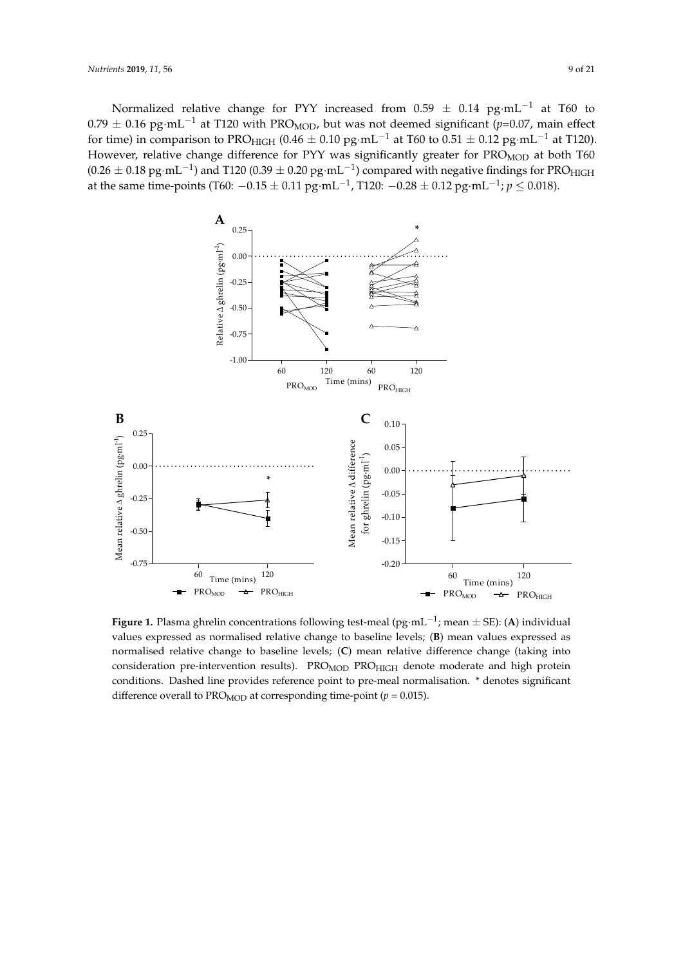Normalized relative change for PYY increased from 0.59  $\pm$  0.14  $\text{pg} \cdot \text{mL}^{-1}$  at T60 to  $0.79 \pm 0.16$  pg·mL<sup>-1</sup> at T120 with PRO<sub>MOD</sub>, but was not deemed significant (*p*=0.07, main effect for time) in comparison to PRO<sub>HIGH</sub> (0.46  $\pm$  0.10 pg·mL<sup>-1</sup> at T60 to 0.51  $\pm$  0.12 pg·mL<sup>-1</sup> at T120). However, relative change difference for PYY was significantly greater for PRO<sub>MOD</sub> at both T60  $(0.26 \pm 0.18 \text{ pg} \cdot \text{mL}^{-1})$  and T120 (0.39  $\pm$  0.20 pg $\cdot$ mL<sup>-1</sup>) compared with negative findings for PRO<sub>HIGH</sub> at the same time-points (T60: −0.15 ± 0.11 pg·mL−<sup>1</sup> , T120: −0.28 ± 0.12 pg·mL−<sup>1</sup> ; *p* ≤ 0.018). −0.15 ± 0.11 pg·mL−1, T120: −0.28 ± 0.12 pg·mL−1; *p* ≤ 0.018).

<span id="page-8-0"></span>

values expressed as normalised relative change to baseline levels; (**B**) mean values expressed as normalised relative change to baseline levels; (C) mean relative difference change (taking into consideration pre-intervention results). PRO<sub>MOD</sub> PRO<sub>HIGH</sub> denote moderate and high protein conditions. Dashed line provides reference point to pre-meal normalisation. \* denotes significant difference overall to PRO<sub>MOD</sub> at corresponding time-point ( $p = 0.015$ ). **Figure 1.** Plasma ghrelin concentrations following test-meal (pg·mL−<sup>1</sup> ; mean ± SE): (**A**) individual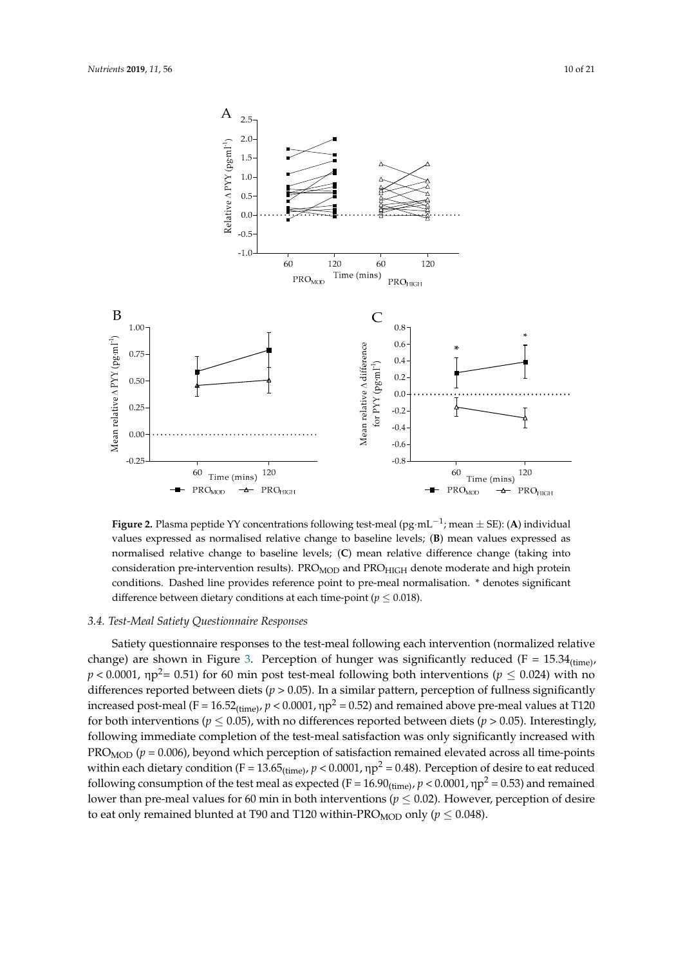<span id="page-9-0"></span>

Figure 2.1 means peptide *1* concentrations following test-meal (pg·mL−1; mean = SE): (1) individual values expressed as normalised relative change to baseline levels; (**B**) mean values expressed as values expressed as normalised relative change to baseline levels; (**B**) mean values expressed as normalised relative change to baseline levels; (**C**) mean relative difference change (taking into normalised relative change to baseline levels; (**C**) mean relative difference change (taking into consideration pre-intervention results). PROMOD and PROHIGH denote moderate and high protein conditions. Dashed line provides reference point to pre-meal normalisation. \* denotes significant difference between distance conditions of each time point ( $n < 0.019$ ) difference between dietary conditions at each time-point ( $p \leq 0.018$ ). **Figure 2.** Plasma peptide YY concentrations following test-meal (pg·mL−<sup>1</sup> ; mean ± SE): (**A**) individual

# *3.4. Test-Meal Satiety Questionnaire Responses*

*3.4. Test-Meal Satiety Questionnaire Responses*  change) are shown in Figure 3. Perception of hunger was significantly reduced (F =  $15.34$ <sub>(time)</sub>,  $p < 0.0001$ ,  $np^2 = 0.51$ ) for 60 min post test-meal following both interventions ( $p \le 0.024$ ) with no differences reported between diets ( $p > 0.05$ ). In a similar pattern, perception of fullness significantly increased post-meal (F =  $16.52_{(time)}$ ,  $p < 0.0001$ ,  $np^2 = 0.52$ ) and remained above pre-meal values at T120 for both interventions ( $p \le 0.05$ ), with no differences reported between diets ( $p > 0.05$ ). Interestingly, following immediate completion of the test-meal satisfaction was only significantly increased with  $PRO<sub>MOD</sub> (p = 0.006)$ , beyond which perception of satisfaction remained elevated across all time-points within each dietary condition (F = 13.65<sub>(time)</sub>,  $p < 0.0001$ ,  $np^2 = 0.48$ ). Perception of desire to eat reduced following consumption of the test meal as expected (F =  $16.90$ <sub>(time)</sub>,  $p < 0.0001$ ,  $np^2 = 0.53$ ) and remained lower than pre-meal values for 60 min in both interventions ( $p \leq 0.02$ ). However, perception of desire to eat only remained blunted at T90 and T120 within-PRO<sub>MOD</sub> only ( $p \leq$  0.048). Satiety questionnaire responses to the test-meal following each intervention (normalized relative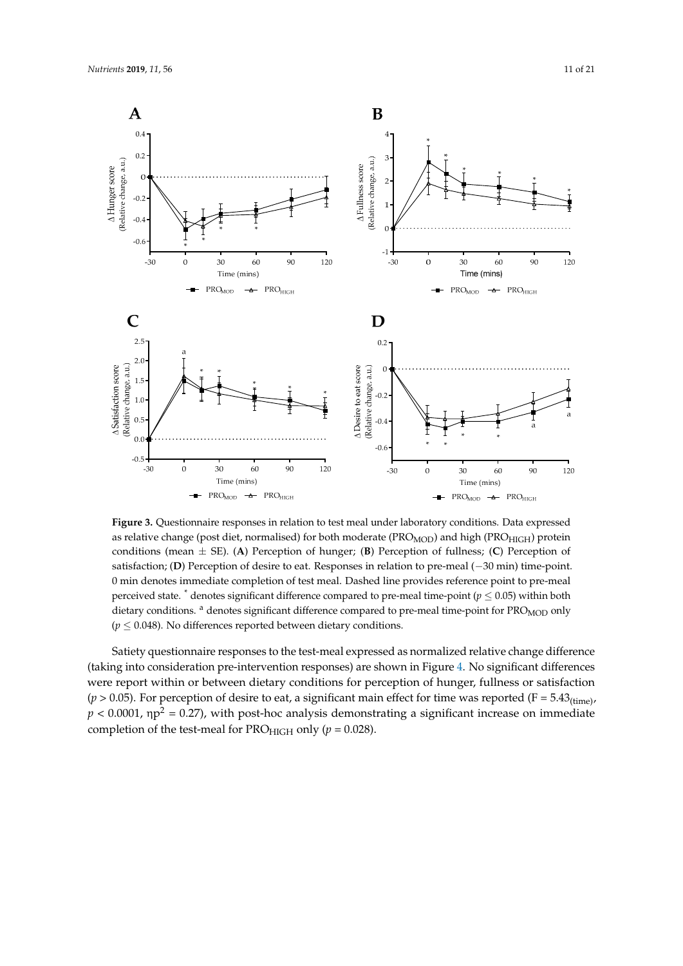<span id="page-10-0"></span>

as relative change (post diet, normalised) for both moderate (PRO<sub>MOD</sub>) and high (PRO<sub>HIGH</sub>) protein conditions (mean  $\pm$  SE). (A) Perception of hunger; (B) Perception of fullness; (C) Perception of satisfaction; (D) Perception of desire to eat. Responses in relation to pre-meal  $(-30 \text{ min})$  time-point. 0 min denotes immediate completion of test meal. Dashed line provides reference point to pre-meal perceived state.  $\degree$  denotes significant difference compared to pre-meal time-point ( $p \leq 0.05$ ) within both dietary conditions. <sup>a</sup> denotes significant difference compared to pre-meal time-point for PRO<sub>MOD</sub> only  $(p \leq 0.048)$ . No differences reported between dietary conditions. **Figure 3.** Questionnaire responses in relation to test meal under laboratory conditions. Data expressed

(taking into consideration pre-intervention responses) are shown in Figure 4. No significant differences were report within or between dietary conditions for perception of hunger, fullness or satisfaction  $(p > 0.05)$ . For perception of desire to eat, a significant main effect for time was reported (F = 5.43<sub>(time)</sub>,  $p < 0.0001$ ,  $np^2 = 0.27$ ), with post-hoc analysis demonstrating a significant increase on immediate completion of the test-meal for  $PRO_{HIGH}$  only ( $p = 0.028$ ). Satiety questionnaire responses to the test-meal expressed as normalized relative change difference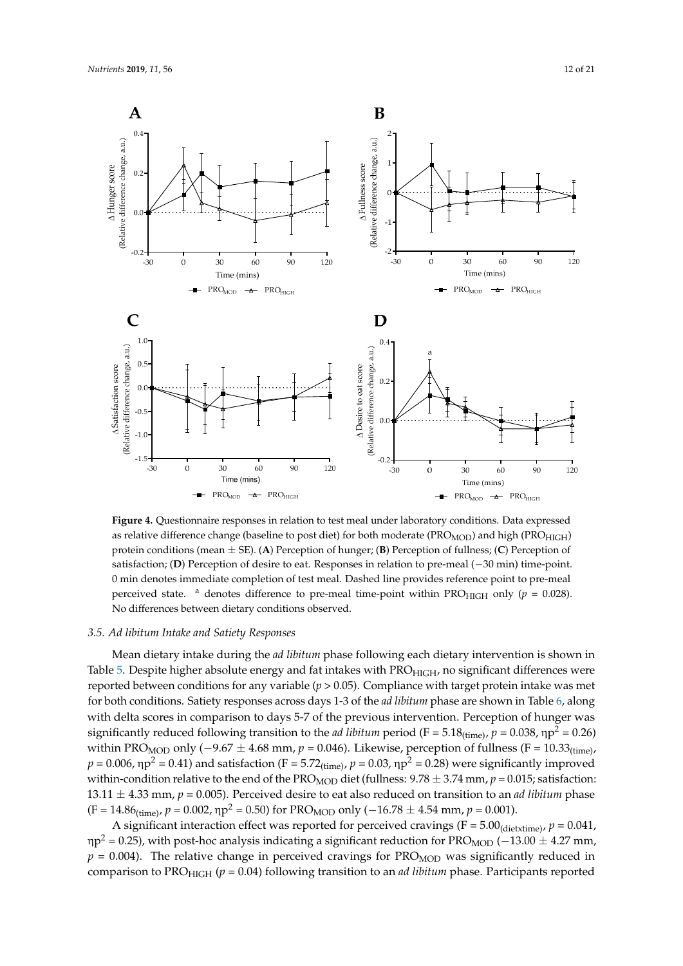<span id="page-11-0"></span>

as relative difference change (baseline to post diet) for both moderate (PRO<sub>MOD</sub>) and high (PRO<sub>HIGH</sub>) protein conditions (mean  $\pm$  SE). (A) Perception of hunger; (B) Perception of fullness; (C) Perception of satisfaction; (D) Perception of desire to eat. Responses in relation to pre-meal (-30 min) time-point. 0 min denotes immediate completion of test meal. Dashed line provides reference point to pre-meal 0 min denotes immediate completion of test meal. Dashed line provides reference point to pre-meal perceived state.  $\alpha$  denotes difference to pre-meal time-point within PRO<sub>HIGH</sub> only ( $p = 0.028$ ). No differences between dietary conditions observed. **Figure 4.** Questionnaire responses in relation to test meal under laboratory conditions. Data expressed

# differences between dietary conditions observed. *3.5. Ad libitum Intake and Satiety Responses*

*3.5. Ad libitum Intake and Satiety Responses*  Mean dietary intake during the *ad libitum* phase following each dietary intervention is shown in Table [5.](#page-12-0) Despite higher absolute energy and fat intakes with PRO<sub>HIGH</sub>, no significant differences were reported between conditions for any variable (*p* > 0.05). Compliance with target protein intake was met for both conditions. Satiety responses across days 1-3 of the *ad libitum* phase are shown in Table [6,](#page-12-1) along with delta scores in comparison to days 5-7 of the previous intervention. Perception of hunger was with delta scores in comparison to days 5-7 of the previous intervention. Perception of hunger was significantly reduced following transition to the *ad libitum* period (F = 5.18<sub>(time)</sub>,  $p = 0.038$ ,  $np^2 = 0.26$ ) within PRO<sub>MOD</sub> only (-9.67  $\pm$  4.68 mm,  $p = 0.046$ ). Likewise, perception of fullness (F = 10.33<sub>(time)</sub>,  $p = 0.006$ ,  $np^2 = 0.41$ ) and satisfaction (F = 5.72<sub>(time)</sub>,  $p = 0.03$ ,  $np^2 = 0.28$ ) were significantly improved within-condition relative to the end of the PRO<sub>MOD</sub> diet (fullness:  $9.78 \pm 3.74$  mm,  $p = 0.015$ ; satisfaction: 13.11  $\pm$  4.33 mm,  $p = 0.005$ ). Perceived desire to eat also reduced on transition to an *ad libitum* phase  $(F = 14.86$ <sub>(time)</sub>,  $p = 0.002$ ,  $np^2 = 0.50$ ) for PRO<sub>MOD</sub> only (−16.78 ± 4.54 mm,  $p = 0.001$ ).

A significant interaction effect was reported for perceived cravings ( $F = 5.00$ <sub>(dietxtime)</sub>,  $p = 0.041$ , np<sup>2</sup> = 0.25), with post-hoc analysis indicating a significant reduction for PRO<sub>MOD</sub> (−13.00 ± 4.27 mm, *p* = 0.004). The relative change in perceived cravings for PRO<sub>MOD</sub> was significantly reduced in comparison to PRO<sub>HIGH</sub> (*p* = 0.04) following transition to an *ad libitum* phase. Participants reported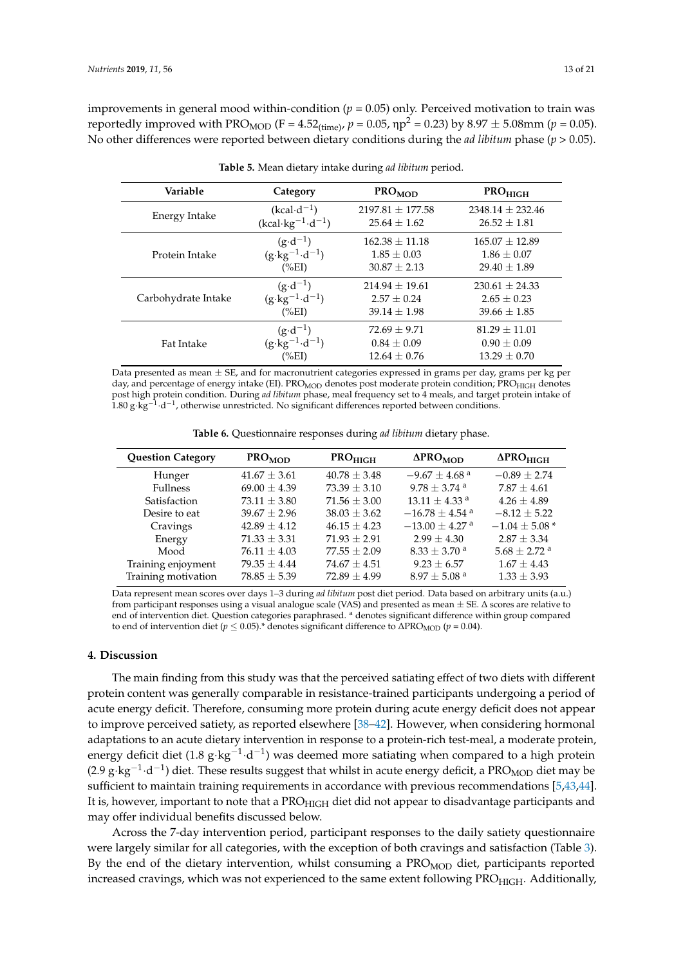improvements in general mood within-condition  $(p = 0.05)$  only. Perceived motivation to train was reportedly improved with PRO<sub>MOD</sub> (F = 4.52<sub>(time)</sub>,  $p = 0.05$ ,  $np^2 = 0.23$ ) by  $8.97 \pm 5.08$ mm ( $p = 0.05$ ). No other differences were reported between dietary conditions during the *ad libitum* phase (*p* > 0.05).

<span id="page-12-0"></span>

| Variable            | Category                            | <b>PRO<sub>MOD</sub></b> | <b>PROHIGH</b>       |
|---------------------|-------------------------------------|--------------------------|----------------------|
| Energy Intake       | $(kcal \cdot d^{-1})$               | $2197.81 \pm 177.58$     | $2348.14 \pm 232.46$ |
|                     | $(kcal \cdot kg^{-1} \cdot d^{-1})$ | $25.64 \pm 1.62$         | $26.52 + 1.81$       |
| Protein Intake      | $(g \cdot d^{-1})$                  | $162.38 \pm 11.18$       | $165.07 \pm 12.89$   |
|                     | $(g \cdot kg^{-1} \cdot d^{-1})$    | $1.85 \pm 0.03$          | $1.86 \pm 0.07$      |
|                     | $(\%EI)$                            | $30.87 + 2.13$           | $29.40 + 1.89$       |
| Carbohydrate Intake | $(g \cdot d^{-1})$                  | $214.94 + 19.61$         | $230.61 \pm 24.33$   |
|                     | $(g \cdot kg^{-1} \cdot d^{-1})$    | $2.57 \pm 0.24$          | $2.65 \pm 0.23$      |
|                     | $(\%EI)$                            | $39.14 \pm 1.98$         | $39.66 \pm 1.85$     |
| Fat Intake          | $(g \cdot d^{-1})$                  | $72.69 + 9.71$           | $81.29 + 11.01$      |
|                     | $(g \cdot kg^{-1} \cdot d^{-1})$    | $0.84 \pm 0.09$          | $0.90 \pm 0.09$      |
|                     | $(\%EI)$                            | $12.64 \pm 0.76$         | $13.29 + 0.70$       |

| <b>Table 5.</b> Mean dietary intake during ad libitum period. |  |  |  |  |
|---------------------------------------------------------------|--|--|--|--|
|---------------------------------------------------------------|--|--|--|--|

Data presented as mean  $\pm$  SE, and for macronutrient categories expressed in grams per day, grams per kg per day, and percentage of energy intake (EI). PRO<sub>MOD</sub> denotes post moderate protein condition; PRO<sub>HIGH</sub> denotes post high protein condition. During *ad libitum* phase, meal frequency set to 4 meals, and target protein intake of<br>1.80 g·kg<sup>−1</sup>·d<sup>−1</sup>, otherwise unrestricted. No significant differences reported between conditions.

**Table 6.** Questionnaire responses during *ad libitum* dietary phase.

<span id="page-12-1"></span>

| <b>Question Category</b> | $PRO_{MOD}$      | PRO <sub>HIGH</sub> | $\Delta$ PRO <sub>MOD</sub>    | $\Delta$ PRO $_{\rm HIGH}$   |
|--------------------------|------------------|---------------------|--------------------------------|------------------------------|
| Hunger                   | $41.67 \pm 3.61$ | $40.78 \pm 3.48$    | $-9.67 \pm 4.68$ <sup>a</sup>  | $-0.89 \pm 2.74$             |
| <b>Fullness</b>          | $69.00 \pm 4.39$ | $73.39 \pm 3.10$    | $9.78 \pm 3.74$ <sup>a</sup>   | $7.87 \pm 4.61$              |
| Satisfaction             | $73.11 \pm 3.80$ | $71.56 \pm 3.00$    | $13.11 \pm 4.33$ <sup>a</sup>  | $4.26 \pm 4.89$              |
| Desire to eat            | $39.67 \pm 2.96$ | $38.03 \pm 3.62$    | $-16.78 \pm 4.54$ <sup>a</sup> | $-8.12 \pm 5.22$             |
| Cravings                 | $42.89 + 4.12$   | $46.15 + 4.23$      | $-13.00 \pm 4.27$ <sup>a</sup> | $-1.04 \pm 5.08*$            |
| Energy                   | $71.33 \pm 3.31$ | $71.93 \pm 2.91$    | $2.99 \pm 4.30$                | $2.87 \pm 3.34$              |
| Mood                     | $76.11 \pm 4.03$ | $77.55 \pm 2.09$    | $8.33 \pm 3.70$ <sup>a</sup>   | $5.68 \pm 2.72$ <sup>a</sup> |
| Training enjoyment       | $79.35 + 4.44$   | $74.67 \pm 4.51$    | $9.23 \pm 6.57$                | $1.67 \pm 4.43$              |
| Training motivation      | $78.85 \pm 5.39$ | $72.89 + 4.99$      | $8.97 + 5.08$ <sup>a</sup>     | $1.33 \pm 3.93$              |

Data represent mean scores over days 1–3 during *ad libitum* post diet period. Data based on arbitrary units (a.u.) from participant responses using a visual analogue scale (VAS) and presented as mean ± SE. ∆ scores are relative to end of intervention diet. Question categories paraphrased. <sup>a</sup> denotes significant difference within group compared to end of intervention diet ( $p \le 0.05$ ).\* denotes significant difference to  $\Delta$ PRO<sub>MOD</sub> ( $p = 0.04$ ).

#### **4. Discussion**

The main finding from this study was that the perceived satiating effect of two diets with different protein content was generally comparable in resistance-trained participants undergoing a period of acute energy deficit. Therefore, consuming more protein during acute energy deficit does not appear to improve perceived satiety, as reported elsewhere [\[38–](#page-18-9)[42\]](#page-18-10). However, when considering hormonal adaptations to an acute dietary intervention in response to a protein-rich test-meal, a moderate protein, energy deficit diet (1.8 g⋅kg<sup>-1</sup>⋅d<sup>-1</sup>) was deemed more satiating when compared to a high protein (2.9 g⋅kg<sup>-1</sup>⋅d<sup>-1</sup>) diet. These results suggest that whilst in acute energy deficit, a PRO<sub>MOD</sub> diet may be sufficient to maintain training requirements in accordance with previous recommendations [\[5,](#page-17-13)[43,](#page-19-0)[44\]](#page-19-1). It is, however, important to note that a PRO<sub>HIGH</sub> diet did not appear to disadvantage participants and may offer individual benefits discussed below.

Across the 7-day intervention period, participant responses to the daily satiety questionnaire were largely similar for all categories, with the exception of both cravings and satisfaction (Table [3\)](#page-7-0). By the end of the dietary intervention, whilst consuming a  $PROMOD$  diet, participants reported increased cravings, which was not experienced to the same extent following PRO<sub>HIGH</sub>. Additionally,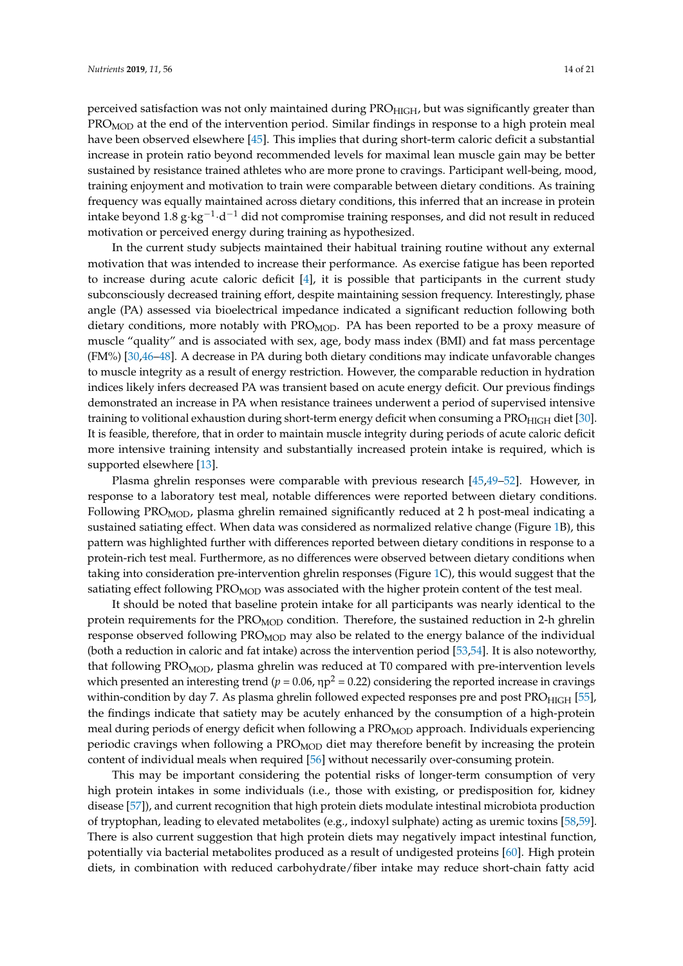perceived satisfaction was not only maintained during PRO<sub>HIGH</sub>, but was significantly greater than  $PROMOD$  at the end of the intervention period. Similar findings in response to a high protein meal have been observed elsewhere [\[45\]](#page-19-2). This implies that during short-term caloric deficit a substantial increase in protein ratio beyond recommended levels for maximal lean muscle gain may be better sustained by resistance trained athletes who are more prone to cravings. Participant well-being, mood, training enjoyment and motivation to train were comparable between dietary conditions. As training frequency was equally maintained across dietary conditions, this inferred that an increase in protein intake beyond 1.8 g·kg $^{-1}\cdot$ d $^{-1}$  did not compromise training responses, and did not result in reduced motivation or perceived energy during training as hypothesized.

In the current study subjects maintained their habitual training routine without any external motivation that was intended to increase their performance. As exercise fatigue has been reported to increase during acute caloric deficit [\[4\]](#page-17-1), it is possible that participants in the current study subconsciously decreased training effort, despite maintaining session frequency. Interestingly, phase angle (PA) assessed via bioelectrical impedance indicated a significant reduction following both dietary conditions, more notably with  $PRO<sub>MOD</sub>$ . PA has been reported to be a proxy measure of muscle "quality" and is associated with sex, age, body mass index (BMI) and fat mass percentage (FM%) [\[30](#page-18-2)[,46–](#page-19-3)[48\]](#page-19-4). A decrease in PA during both dietary conditions may indicate unfavorable changes to muscle integrity as a result of energy restriction. However, the comparable reduction in hydration indices likely infers decreased PA was transient based on acute energy deficit. Our previous findings demonstrated an increase in PA when resistance trainees underwent a period of supervised intensive training to volitional exhaustion during short-term energy deficit when consuming a PRO<sub>HIGH</sub> diet [\[30\]](#page-18-2). It is feasible, therefore, that in order to maintain muscle integrity during periods of acute caloric deficit more intensive training intensity and substantially increased protein intake is required, which is supported elsewhere [\[13\]](#page-17-2).

Plasma ghrelin responses were comparable with previous research [\[45](#page-19-2)[,49](#page-19-5)[–52\]](#page-19-6). However, in response to a laboratory test meal, notable differences were reported between dietary conditions. Following PRO<sub>MOD</sub>, plasma ghrelin remained significantly reduced at 2 h post-meal indicating a sustained satiating effect. When data was considered as normalized relative change (Figure [1B](#page-8-0)), this pattern was highlighted further with differences reported between dietary conditions in response to a protein-rich test meal. Furthermore, as no differences were observed between dietary conditions when taking into consideration pre-intervention ghrelin responses (Figure [1C](#page-8-0)), this would suggest that the satiating effect following PRO<sub>MOD</sub> was associated with the higher protein content of the test meal.

It should be noted that baseline protein intake for all participants was nearly identical to the protein requirements for the PRO<sub>MOD</sub> condition. Therefore, the sustained reduction in 2-h ghrelin response observed following PRO<sub>MOD</sub> may also be related to the energy balance of the individual (both a reduction in caloric and fat intake) across the intervention period [\[53](#page-19-7)[,54\]](#page-19-8). It is also noteworthy, that following PRO<sub>MOD</sub>, plasma ghrelin was reduced at T0 compared with pre-intervention levels which presented an interesting trend ( $p = 0.06$ ,  $np^2 = 0.22$ ) considering the reported increase in cravings within-condition by day 7. As plasma ghrelin followed expected responses pre and post PRO<sub>HIGH</sub> [\[55\]](#page-19-9), the findings indicate that satiety may be acutely enhanced by the consumption of a high-protein meal during periods of energy deficit when following a PRO<sub>MOD</sub> approach. Individuals experiencing periodic cravings when following a PRO<sub>MOD</sub> diet may therefore benefit by increasing the protein content of individual meals when required [\[56\]](#page-19-10) without necessarily over-consuming protein.

This may be important considering the potential risks of longer-term consumption of very high protein intakes in some individuals (i.e., those with existing, or predisposition for, kidney disease [\[57\]](#page-19-11)), and current recognition that high protein diets modulate intestinal microbiota production of tryptophan, leading to elevated metabolites (e.g., indoxyl sulphate) acting as uremic toxins [\[58,](#page-19-12)[59\]](#page-19-13). There is also current suggestion that high protein diets may negatively impact intestinal function, potentially via bacterial metabolites produced as a result of undigested proteins [\[60\]](#page-19-14). High protein diets, in combination with reduced carbohydrate/fiber intake may reduce short-chain fatty acid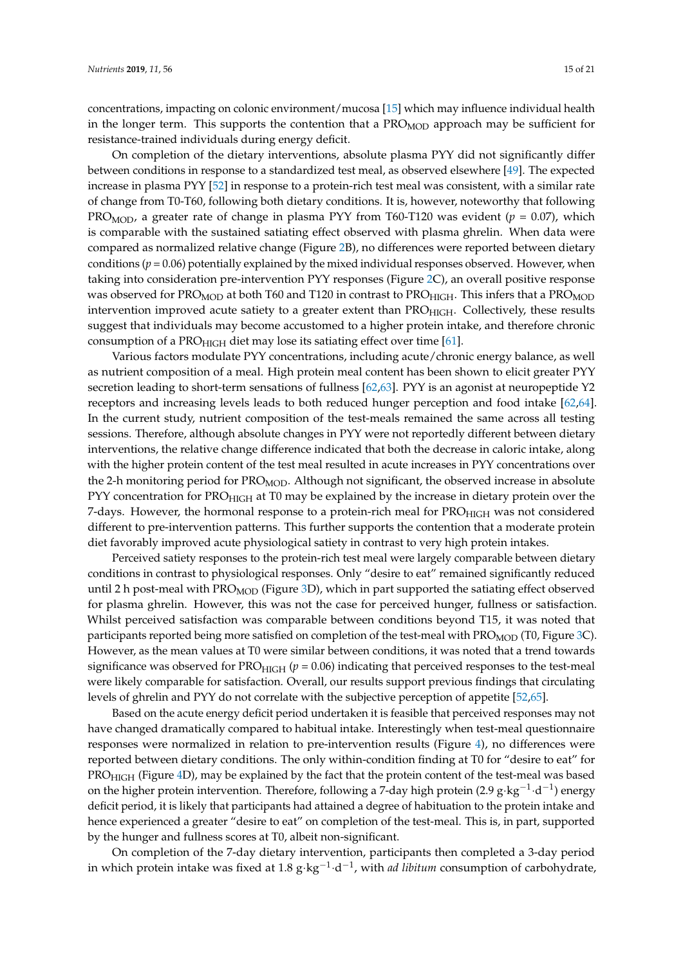concentrations, impacting on colonic environment/mucosa [\[15\]](#page-17-4) which may influence individual health in the longer term. This supports the contention that a  $PRO<sub>MOD</sub>$  approach may be sufficient for resistance-trained individuals during energy deficit.

On completion of the dietary interventions, absolute plasma PYY did not significantly differ between conditions in response to a standardized test meal, as observed elsewhere [\[49\]](#page-19-5). The expected increase in plasma PYY [\[52\]](#page-19-6) in response to a protein-rich test meal was consistent, with a similar rate of change from T0-T60, following both dietary conditions. It is, however, noteworthy that following PRO<sub>MOD</sub>, a greater rate of change in plasma PYY from T60-T120 was evident ( $p = 0.07$ ), which is comparable with the sustained satiating effect observed with plasma ghrelin. When data were compared as normalized relative change (Figure [2B](#page-9-0)), no differences were reported between dietary conditions ( $p = 0.06$ ) potentially explained by the mixed individual responses observed. However, when taking into consideration pre-intervention PYY responses (Figure [2C](#page-9-0)), an overall positive response was observed for PRO<sub>MOD</sub> at both T60 and T120 in contrast to PRO<sub>HIGH</sub>. This infers that a PRO<sub>MOD</sub> intervention improved acute satiety to a greater extent than PRO<sub>HIGH</sub>. Collectively, these results suggest that individuals may become accustomed to a higher protein intake, and therefore chronic consumption of a PRO $_{\text{HIGH}}$  diet may lose its satiating effect over time [\[61\]](#page-19-15).

Various factors modulate PYY concentrations, including acute/chronic energy balance, as well as nutrient composition of a meal. High protein meal content has been shown to elicit greater PYY secretion leading to short-term sensations of fullness [\[62,](#page-20-0)[63\]](#page-20-1). PYY is an agonist at neuropeptide Y2 receptors and increasing levels leads to both reduced hunger perception and food intake [\[62,](#page-20-0)[64\]](#page-20-2). In the current study, nutrient composition of the test-meals remained the same across all testing sessions. Therefore, although absolute changes in PYY were not reportedly different between dietary interventions, the relative change difference indicated that both the decrease in caloric intake, along with the higher protein content of the test meal resulted in acute increases in PYY concentrations over the 2-h monitoring period for  $PRO_{MOD}$ . Although not significant, the observed increase in absolute PYY concentration for PRO<sub>HIGH</sub> at T0 may be explained by the increase in dietary protein over the 7-days. However, the hormonal response to a protein-rich meal for  $PRO_{HIGH}$  was not considered different to pre-intervention patterns. This further supports the contention that a moderate protein diet favorably improved acute physiological satiety in contrast to very high protein intakes.

Perceived satiety responses to the protein-rich test meal were largely comparable between dietary conditions in contrast to physiological responses. Only "desire to eat" remained significantly reduced until 2 h post-meal with PRO<sub>MOD</sub> (Figure [3D](#page-10-0)), which in part supported the satiating effect observed for plasma ghrelin. However, this was not the case for perceived hunger, fullness or satisfaction. Whilst perceived satisfaction was comparable between conditions beyond T15, it was noted that participants reported being more satisfied on completion of the test-meal with  $PRO_{MOD}$  (T0, Figure [3C](#page-10-0)). However, as the mean values at T0 were similar between conditions, it was noted that a trend towards significance was observed for  $PRO_{HIGH}$  ( $p = 0.06$ ) indicating that perceived responses to the test-meal were likely comparable for satisfaction. Overall, our results support previous findings that circulating levels of ghrelin and PYY do not correlate with the subjective perception of appetite [\[52,](#page-19-6)[65\]](#page-20-3).

Based on the acute energy deficit period undertaken it is feasible that perceived responses may not have changed dramatically compared to habitual intake. Interestingly when test-meal questionnaire responses were normalized in relation to pre-intervention results (Figure [4\)](#page-11-0), no differences were reported between dietary conditions. The only within-condition finding at T0 for "desire to eat" for PRO<sub>HIGH</sub> (Figure [4D](#page-11-0)), may be explained by the fact that the protein content of the test-meal was based on the higher protein intervention. Therefore, following a 7-day high protein (2.9 g·kg<sup>-1</sup>·d<sup>-1</sup>) energy deficit period, it is likely that participants had attained a degree of habituation to the protein intake and hence experienced a greater "desire to eat" on completion of the test-meal. This is, in part, supported by the hunger and fullness scores at T0, albeit non-significant.

On completion of the 7-day dietary intervention, participants then completed a 3-day period in which protein intake was fixed at 1.8 g·kg−<sup>1</sup> ·d −1 , with *ad libitum* consumption of carbohydrate,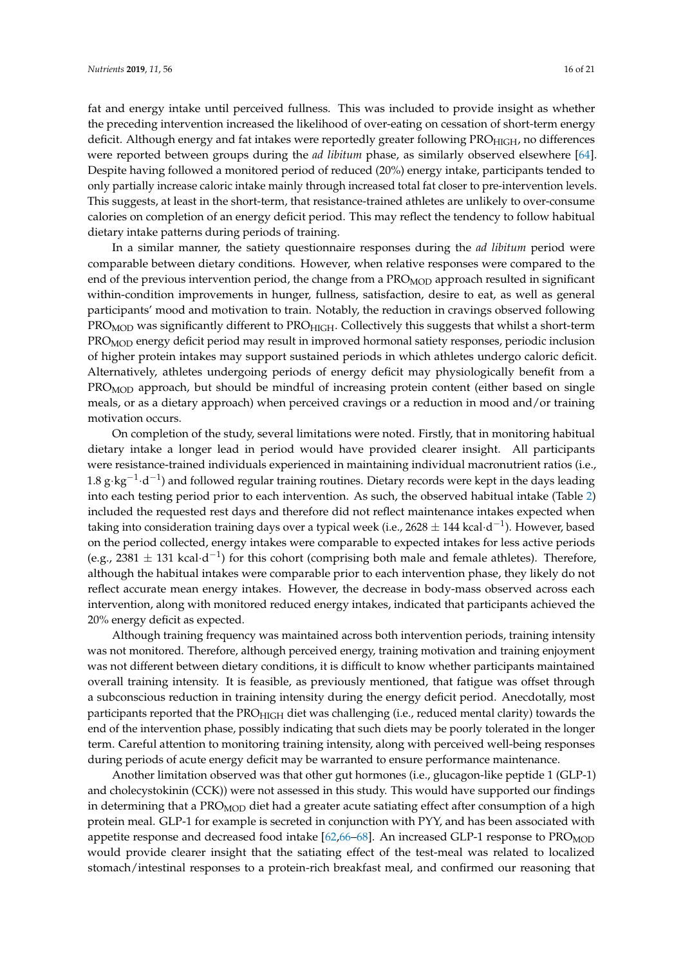fat and energy intake until perceived fullness. This was included to provide insight as whether the preceding intervention increased the likelihood of over-eating on cessation of short-term energy deficit. Although energy and fat intakes were reportedly greater following  $PRO<sub>HIGH</sub>$ , no differences were reported between groups during the *ad libitum* phase, as similarly observed elsewhere [\[64\]](#page-20-2). Despite having followed a monitored period of reduced (20%) energy intake, participants tended to only partially increase caloric intake mainly through increased total fat closer to pre-intervention levels. This suggests, at least in the short-term, that resistance-trained athletes are unlikely to over-consume calories on completion of an energy deficit period. This may reflect the tendency to follow habitual dietary intake patterns during periods of training.

In a similar manner, the satiety questionnaire responses during the *ad libitum* period were comparable between dietary conditions. However, when relative responses were compared to the end of the previous intervention period, the change from a  $PRO<sub>MOD</sub>$  approach resulted in significant within-condition improvements in hunger, fullness, satisfaction, desire to eat, as well as general participants' mood and motivation to train. Notably, the reduction in cravings observed following PRO<sub>MOD</sub> was significantly different to PRO<sub>HIGH</sub>. Collectively this suggests that whilst a short-term PRO<sub>MOD</sub> energy deficit period may result in improved hormonal satiety responses, periodic inclusion of higher protein intakes may support sustained periods in which athletes undergo caloric deficit. Alternatively, athletes undergoing periods of energy deficit may physiologically benefit from a PRO<sub>MOD</sub> approach, but should be mindful of increasing protein content (either based on single meals, or as a dietary approach) when perceived cravings or a reduction in mood and/or training motivation occurs.

On completion of the study, several limitations were noted. Firstly, that in monitoring habitual dietary intake a longer lead in period would have provided clearer insight. All participants were resistance-trained individuals experienced in maintaining individual macronutrient ratios (i.e., 1.8 g⋅kg<sup>-1</sup>⋅d<sup>-1</sup>) and followed regular training routines. Dietary records were kept in the days leading into each testing period prior to each intervention. As such, the observed habitual intake (Table [2\)](#page-4-0) included the requested rest days and therefore did not reflect maintenance intakes expected when taking into consideration training days over a typical week (i.e., 2628  $\pm$  144 kcal·d $^{-1}$ ). However, based on the period collected, energy intakes were comparable to expected intakes for less active periods (e.g., 2381  $\pm$  131 kcal·d<sup>-1</sup>) for this cohort (comprising both male and female athletes). Therefore, although the habitual intakes were comparable prior to each intervention phase, they likely do not reflect accurate mean energy intakes. However, the decrease in body-mass observed across each intervention, along with monitored reduced energy intakes, indicated that participants achieved the 20% energy deficit as expected.

Although training frequency was maintained across both intervention periods, training intensity was not monitored. Therefore, although perceived energy, training motivation and training enjoyment was not different between dietary conditions, it is difficult to know whether participants maintained overall training intensity. It is feasible, as previously mentioned, that fatigue was offset through a subconscious reduction in training intensity during the energy deficit period. Anecdotally, most participants reported that the PRO<sub>HIGH</sub> diet was challenging (i.e., reduced mental clarity) towards the end of the intervention phase, possibly indicating that such diets may be poorly tolerated in the longer term. Careful attention to monitoring training intensity, along with perceived well-being responses during periods of acute energy deficit may be warranted to ensure performance maintenance.

Another limitation observed was that other gut hormones (i.e., glucagon-like peptide 1 (GLP-1) and cholecystokinin (CCK)) were not assessed in this study. This would have supported our findings in determining that a  $PRO<sub>MOD</sub>$  diet had a greater acute satiating effect after consumption of a high protein meal. GLP-1 for example is secreted in conjunction with PYY, and has been associated with appetite response and decreased food intake  $[62,66-68]$  $[62,66-68]$  $[62,66-68]$ . An increased GLP-1 response to PRO<sub>MOD</sub> would provide clearer insight that the satiating effect of the test-meal was related to localized stomach/intestinal responses to a protein-rich breakfast meal, and confirmed our reasoning that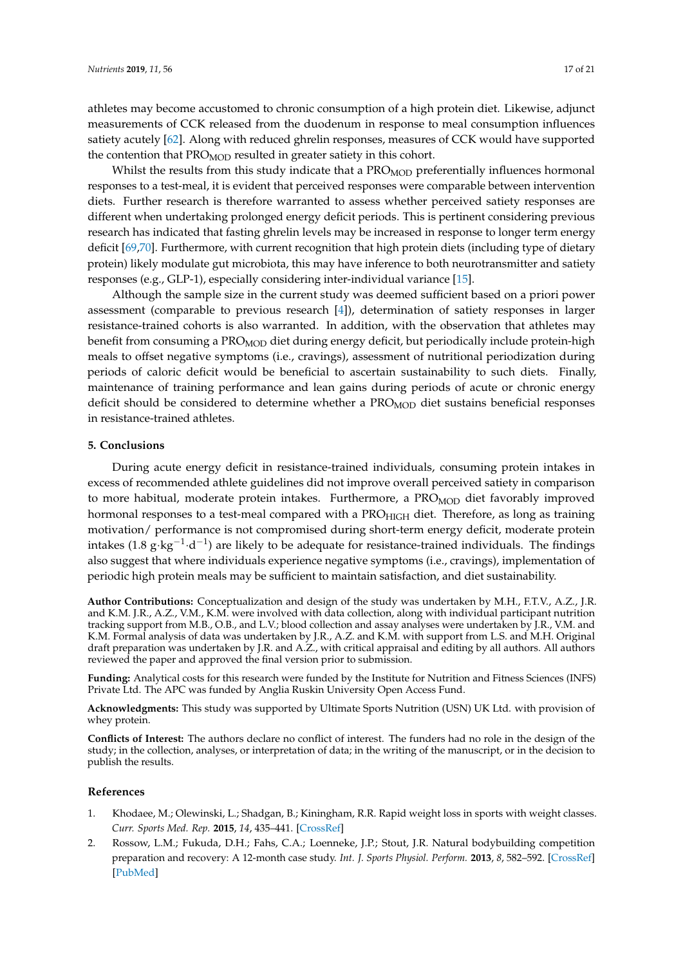athletes may become accustomed to chronic consumption of a high protein diet. Likewise, adjunct measurements of CCK released from the duodenum in response to meal consumption influences satiety acutely [\[62\]](#page-20-0). Along with reduced ghrelin responses, measures of CCK would have supported the contention that  $PRO<sub>MOD</sub>$  resulted in greater satiety in this cohort.

Whilst the results from this study indicate that a  $PRO<sub>MOD</sub>$  preferentially influences hormonal responses to a test-meal, it is evident that perceived responses were comparable between intervention diets. Further research is therefore warranted to assess whether perceived satiety responses are different when undertaking prolonged energy deficit periods. This is pertinent considering previous research has indicated that fasting ghrelin levels may be increased in response to longer term energy deficit [\[69](#page-20-6)[,70\]](#page-20-7). Furthermore, with current recognition that high protein diets (including type of dietary protein) likely modulate gut microbiota, this may have inference to both neurotransmitter and satiety responses (e.g., GLP-1), especially considering inter-individual variance [\[15\]](#page-17-4).

Although the sample size in the current study was deemed sufficient based on a priori power assessment (comparable to previous research [\[4\]](#page-17-1)), determination of satiety responses in larger resistance-trained cohorts is also warranted. In addition, with the observation that athletes may benefit from consuming a PRO<sub>MOD</sub> diet during energy deficit, but periodically include protein-high meals to offset negative symptoms (i.e., cravings), assessment of nutritional periodization during periods of caloric deficit would be beneficial to ascertain sustainability to such diets. Finally, maintenance of training performance and lean gains during periods of acute or chronic energy deficit should be considered to determine whether a PRO<sub>MOD</sub> diet sustains beneficial responses in resistance-trained athletes.

### **5. Conclusions**

During acute energy deficit in resistance-trained individuals, consuming protein intakes in excess of recommended athlete guidelines did not improve overall perceived satiety in comparison to more habitual, moderate protein intakes. Furthermore, a PRO<sub>MOD</sub> diet favorably improved hormonal responses to a test-meal compared with a PRO<sub>HIGH</sub> diet. Therefore, as long as training motivation/ performance is not compromised during short-term energy deficit, moderate protein intakes (1.8 g⋅kg<sup>-1</sup>⋅d<sup>-1</sup>) are likely to be adequate for resistance-trained individuals. The findings also suggest that where individuals experience negative symptoms (i.e., cravings), implementation of periodic high protein meals may be sufficient to maintain satisfaction, and diet sustainability.

**Author Contributions:** Conceptualization and design of the study was undertaken by M.H., F.T.V., A.Z., J.R. and K.M. J.R., A.Z., V.M., K.M. were involved with data collection, along with individual participant nutrition tracking support from M.B., O.B., and L.V.; blood collection and assay analyses were undertaken by J.R., V.M. and K.M. Formal analysis of data was undertaken by J.R., A.Z. and K.M. with support from L.S. and M.H. Original draft preparation was undertaken by J.R. and A.Z., with critical appraisal and editing by all authors. All authors reviewed the paper and approved the final version prior to submission.

**Funding:** Analytical costs for this research were funded by the Institute for Nutrition and Fitness Sciences (INFS) Private Ltd. The APC was funded by Anglia Ruskin University Open Access Fund.

**Acknowledgments:** This study was supported by Ultimate Sports Nutrition (USN) UK Ltd. with provision of whey protein.

**Conflicts of Interest:** The authors declare no conflict of interest. The funders had no role in the design of the study; in the collection, analyses, or interpretation of data; in the writing of the manuscript, or in the decision to publish the results.

#### **References**

- <span id="page-16-0"></span>1. Khodaee, M.; Olewinski, L.; Shadgan, B.; Kiningham, R.R. Rapid weight loss in sports with weight classes. *Curr. Sports Med. Rep.* **2015**, *14*, 435–441. [\[CrossRef\]](http://dx.doi.org/10.1249/JSR.0000000000000206)
- <span id="page-16-1"></span>2. Rossow, L.M.; Fukuda, D.H.; Fahs, C.A.; Loenneke, J.P.; Stout, J.R. Natural bodybuilding competition preparation and recovery: A 12-month case study. *Int. J. Sports Physiol. Perform.* **2013**, *8*, 582–592. [\[CrossRef\]](http://dx.doi.org/10.1123/ijspp.8.5.582) [\[PubMed\]](http://www.ncbi.nlm.nih.gov/pubmed/23412685)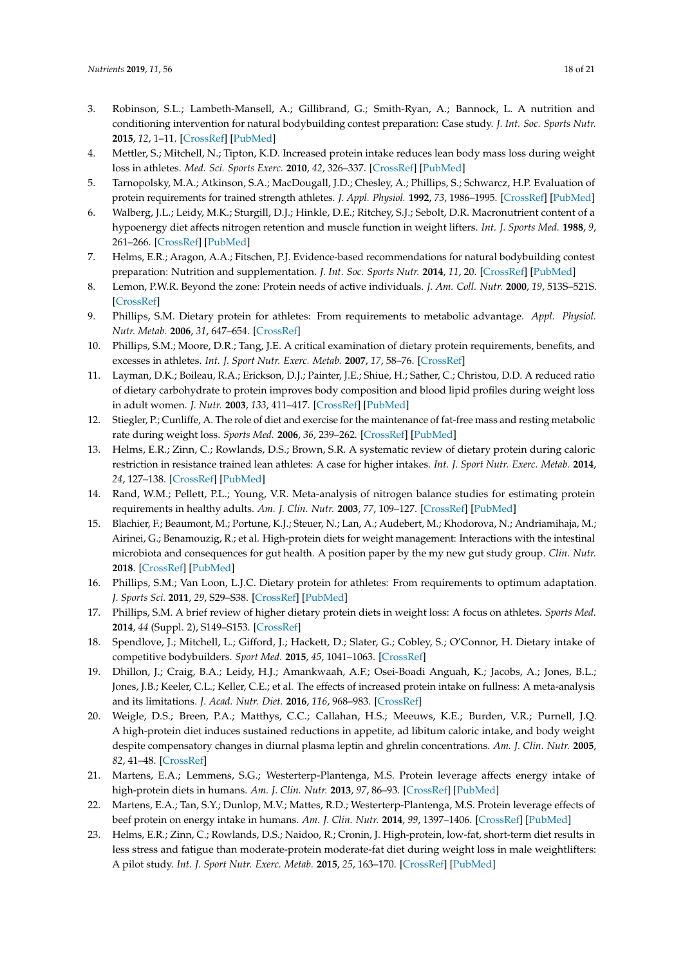- <span id="page-17-0"></span>3. Robinson, S.L.; Lambeth-Mansell, A.; Gillibrand, G.; Smith-Ryan, A.; Bannock, L. A nutrition and conditioning intervention for natural bodybuilding contest preparation: Case study. *J. Int. Soc. Sports Nutr.* **2015**, *12*, 1–11. [\[CrossRef\]](http://dx.doi.org/10.1186/s12970-015-0083-x) [\[PubMed\]](http://www.ncbi.nlm.nih.gov/pubmed/25949233)
- <span id="page-17-1"></span>4. Mettler, S.; Mitchell, N.; Tipton, K.D. Increased protein intake reduces lean body mass loss during weight loss in athletes. *Med. Sci. Sports Exerc.* **2010**, *42*, 326–337. [\[CrossRef\]](http://dx.doi.org/10.1249/MSS.0b013e3181b2ef8e) [\[PubMed\]](http://www.ncbi.nlm.nih.gov/pubmed/19927027)
- <span id="page-17-13"></span>5. Tarnopolsky, M.A.; Atkinson, S.A.; MacDougall, J.D.; Chesley, A.; Phillips, S.; Schwarcz, H.P. Evaluation of protein requirements for trained strength athletes. *J. Appl. Physiol.* **1992**, *73*, 1986–1995. [\[CrossRef\]](http://dx.doi.org/10.1152/jappl.1992.73.5.1986) [\[PubMed\]](http://www.ncbi.nlm.nih.gov/pubmed/1474076)
- <span id="page-17-11"></span>6. Walberg, J.L.; Leidy, M.K.; Sturgill, D.J.; Hinkle, D.E.; Ritchey, S.J.; Sebolt, D.R. Macronutrient content of a hypoenergy diet affects nitrogen retention and muscle function in weight lifters. *Int. J. Sports Med.* **1988**, *9*, 261–266. [\[CrossRef\]](http://dx.doi.org/10.1055/s-2007-1025018) [\[PubMed\]](http://www.ncbi.nlm.nih.gov/pubmed/3182156)
- 7. Helms, E.R.; Aragon, A.A.; Fitschen, P.J. Evidence-based recommendations for natural bodybuilding contest preparation: Nutrition and supplementation. *J. Int. Soc. Sports Nutr.* **2014**, *11*, 20. [\[CrossRef\]](http://dx.doi.org/10.1186/1550-2783-11-20) [\[PubMed\]](http://www.ncbi.nlm.nih.gov/pubmed/24864135)
- 8. Lemon, P.W.R. Beyond the zone: Protein needs of active individuals. *J. Am. Coll. Nutr.* **2000**, *19*, 513S–521S. [\[CrossRef\]](http://dx.doi.org/10.1080/07315724.2000.10718974)
- 9. Phillips, S.M. Dietary protein for athletes: From requirements to metabolic advantage. *Appl. Physiol. Nutr. Metab.* **2006**, *31*, 647–654. [\[CrossRef\]](http://dx.doi.org/10.1139/h06-035)
- 10. Phillips, S.M.; Moore, D.R.; Tang, J.E. A critical examination of dietary protein requirements, benefits, and excesses in athletes. *Int. J. Sport Nutr. Exerc. Metab.* **2007**, *17*, 58–76. [\[CrossRef\]](http://dx.doi.org/10.1123/ijsnem.17.s1.s58)
- 11. Layman, D.K.; Boileau, R.A.; Erickson, D.J.; Painter, J.E.; Shiue, H.; Sather, C.; Christou, D.D. A reduced ratio of dietary carbohydrate to protein improves body composition and blood lipid profiles during weight loss in adult women. *J. Nutr.* **2003**, *133*, 411–417. [\[CrossRef\]](http://dx.doi.org/10.1093/jn/133.2.411) [\[PubMed\]](http://www.ncbi.nlm.nih.gov/pubmed/12566476)
- 12. Stiegler, P.; Cunliffe, A. The role of diet and exercise for the maintenance of fat-free mass and resting metabolic rate during weight loss. *Sports Med.* **2006**, *36*, 239–262. [\[CrossRef\]](http://dx.doi.org/10.2165/00007256-200636030-00005) [\[PubMed\]](http://www.ncbi.nlm.nih.gov/pubmed/16526835)
- <span id="page-17-2"></span>13. Helms, E.R.; Zinn, C.; Rowlands, D.S.; Brown, S.R. A systematic review of dietary protein during caloric restriction in resistance trained lean athletes: A case for higher intakes. *Int. J. Sport Nutr. Exerc. Metab.* **2014**, *24*, 127–138. [\[CrossRef\]](http://dx.doi.org/10.1123/ijsnem.2013-0054) [\[PubMed\]](http://www.ncbi.nlm.nih.gov/pubmed/24092765)
- <span id="page-17-3"></span>14. Rand, W.M.; Pellett, P.L.; Young, V.R. Meta-analysis of nitrogen balance studies for estimating protein requirements in healthy adults. *Am. J. Clin. Nutr.* **2003**, *77*, 109–127. [\[CrossRef\]](http://dx.doi.org/10.1093/ajcn/77.1.109) [\[PubMed\]](http://www.ncbi.nlm.nih.gov/pubmed/12499330)
- <span id="page-17-4"></span>15. Blachier, F.; Beaumont, M.; Portune, K.J.; Steuer, N.; Lan, A.; Audebert, M.; Khodorova, N.; Andriamihaja, M.; Airinei, G.; Benamouzig, R.; et al. High-protein diets for weight management: Interactions with the intestinal microbiota and consequences for gut health. A position paper by the my new gut study group. *Clin. Nutr.* **2018**. [\[CrossRef\]](http://dx.doi.org/10.1016/j.clnu.2018.09.016) [\[PubMed\]](http://www.ncbi.nlm.nih.gov/pubmed/30274898)
- <span id="page-17-5"></span>16. Phillips, S.M.; Van Loon, L.J.C. Dietary protein for athletes: From requirements to optimum adaptation. *J. Sports Sci.* **2011**, *29*, S29–S38. [\[CrossRef\]](http://dx.doi.org/10.1080/02640414.2011.619204) [\[PubMed\]](http://www.ncbi.nlm.nih.gov/pubmed/22150425)
- <span id="page-17-6"></span>17. Phillips, S.M. A brief review of higher dietary protein diets in weight loss: A focus on athletes. *Sports Med.* **2014**, *44* (Suppl. 2), S149–S153. [\[CrossRef\]](http://dx.doi.org/10.1007/s40279-014-0254-y)
- <span id="page-17-7"></span>18. Spendlove, J.; Mitchell, L.; Gifford, J.; Hackett, D.; Slater, G.; Cobley, S.; O'Connor, H. Dietary intake of competitive bodybuilders. *Sport Med.* **2015**, *45*, 1041–1063. [\[CrossRef\]](http://dx.doi.org/10.1007/s40279-015-0329-4)
- <span id="page-17-8"></span>19. Dhillon, J.; Craig, B.A.; Leidy, H.J.; Amankwaah, A.F.; Osei-Boadi Anguah, K.; Jacobs, A.; Jones, B.L.; Jones, J.B.; Keeler, C.L.; Keller, C.E.; et al. The effects of increased protein intake on fullness: A meta-analysis and its limitations. *J. Acad. Nutr. Diet.* **2016**, *116*, 968–983. [\[CrossRef\]](http://dx.doi.org/10.1016/j.jand.2016.01.003)
- <span id="page-17-9"></span>20. Weigle, D.S.; Breen, P.A.; Matthys, C.C.; Callahan, H.S.; Meeuws, K.E.; Burden, V.R.; Purnell, J.Q. A high-protein diet induces sustained reductions in appetite, ad libitum caloric intake, and body weight despite compensatory changes in diurnal plasma leptin and ghrelin concentrations. *Am. J. Clin. Nutr.* **2005**, *82*, 41–48. [\[CrossRef\]](http://dx.doi.org/10.1093/ajcn/82.1.41)
- 21. Martens, E.A.; Lemmens, S.G.; Westerterp-Plantenga, M.S. Protein leverage affects energy intake of high-protein diets in humans. *Am. J. Clin. Nutr.* **2013**, *97*, 86–93. [\[CrossRef\]](http://dx.doi.org/10.3945/ajcn.112.046540) [\[PubMed\]](http://www.ncbi.nlm.nih.gov/pubmed/23221572)
- <span id="page-17-10"></span>22. Martens, E.A.; Tan, S.Y.; Dunlop, M.V.; Mattes, R.D.; Westerterp-Plantenga, M.S. Protein leverage effects of beef protein on energy intake in humans. *Am. J. Clin. Nutr.* **2014**, *99*, 1397–1406. [\[CrossRef\]](http://dx.doi.org/10.3945/ajcn.113.078774) [\[PubMed\]](http://www.ncbi.nlm.nih.gov/pubmed/24760974)
- <span id="page-17-12"></span>23. Helms, E.R.; Zinn, C.; Rowlands, D.S.; Naidoo, R.; Cronin, J. High-protein, low-fat, short-term diet results in less stress and fatigue than moderate-protein moderate-fat diet during weight loss in male weightlifters: A pilot study. *Int. J. Sport Nutr. Exerc. Metab.* **2015**, *25*, 163–170. [\[CrossRef\]](http://dx.doi.org/10.1123/ijsnem.2014-0056) [\[PubMed\]](http://www.ncbi.nlm.nih.gov/pubmed/25028958)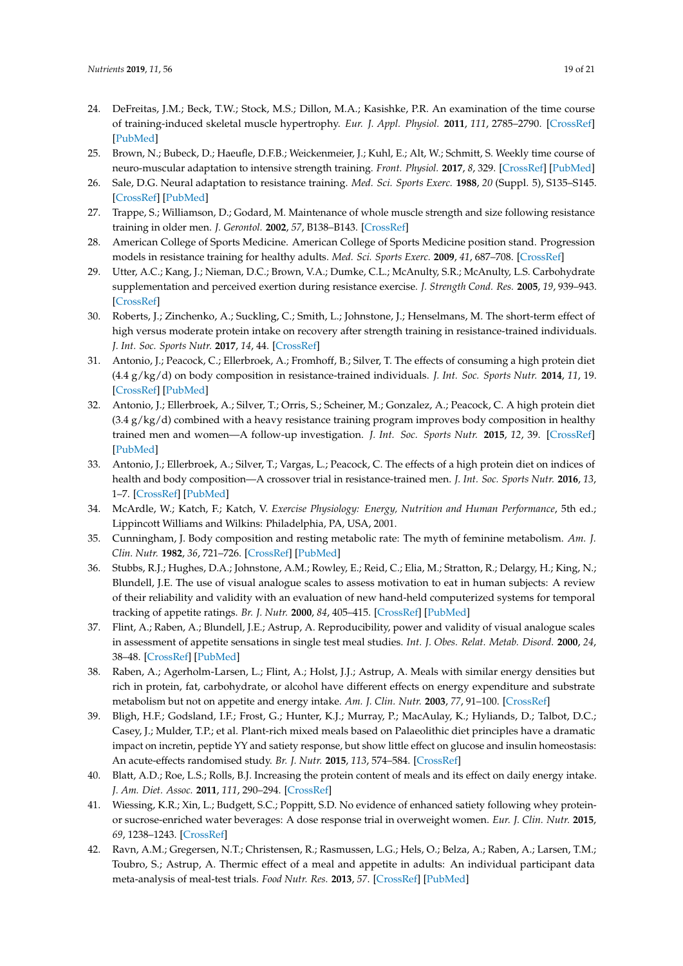- <span id="page-18-0"></span>24. DeFreitas, J.M.; Beck, T.W.; Stock, M.S.; Dillon, M.A.; Kasishke, P.R. An examination of the time course of training-induced skeletal muscle hypertrophy. *Eur. J. Appl. Physiol.* **2011**, *111*, 2785–2790. [\[CrossRef\]](http://dx.doi.org/10.1007/s00421-011-1905-4) [\[PubMed\]](http://www.ncbi.nlm.nih.gov/pubmed/21409401)
- 25. Brown, N.; Bubeck, D.; Haeufle, D.F.B.; Weickenmeier, J.; Kuhl, E.; Alt, W.; Schmitt, S. Weekly time course of neuro-muscular adaptation to intensive strength training. *Front. Physiol.* **2017**, *8*, 329. [\[CrossRef\]](http://dx.doi.org/10.3389/fphys.2017.00329) [\[PubMed\]](http://www.ncbi.nlm.nih.gov/pubmed/28642711)
- 26. Sale, D.G. Neural adaptation to resistance training. *Med. Sci. Sports Exerc.* **1988**, *20* (Suppl. 5), S135–S145. [\[CrossRef\]](http://dx.doi.org/10.1249/00005768-198810001-00009) [\[PubMed\]](http://www.ncbi.nlm.nih.gov/pubmed/3057313)
- 27. Trappe, S.; Williamson, D.; Godard, M. Maintenance of whole muscle strength and size following resistance training in older men. *J. Gerontol.* **2002**, *57*, B138–B143. [\[CrossRef\]](http://dx.doi.org/10.1093/gerona/57.4.B138)
- 28. American College of Sports Medicine. American College of Sports Medicine position stand. Progression models in resistance training for healthy adults. *Med. Sci. Sports Exerc.* **2009**, *41*, 687–708. [\[CrossRef\]](http://dx.doi.org/10.1249/MSS.0b013e3181915670)
- <span id="page-18-1"></span>29. Utter, A.C.; Kang, J.; Nieman, D.C.; Brown, V.A.; Dumke, C.L.; McAnulty, S.R.; McAnulty, L.S. Carbohydrate supplementation and perceived exertion during resistance exercise. *J. Strength Cond. Res.* **2005**, *19*, 939–943. [\[CrossRef\]](http://dx.doi.org/10.1519/R-16994.1)
- <span id="page-18-2"></span>30. Roberts, J.; Zinchenko, A.; Suckling, C.; Smith, L.; Johnstone, J.; Henselmans, M. The short-term effect of high versus moderate protein intake on recovery after strength training in resistance-trained individuals. *J. Int. Soc. Sports Nutr.* **2017**, *14*, 44. [\[CrossRef\]](http://dx.doi.org/10.1186/s12970-017-0201-z)
- <span id="page-18-3"></span>31. Antonio, J.; Peacock, C.; Ellerbroek, A.; Fromhoff, B.; Silver, T. The effects of consuming a high protein diet (4.4 g/kg/d) on body composition in resistance-trained individuals. *J. Int. Soc. Sports Nutr.* **2014**, *11*, 19. [\[CrossRef\]](http://dx.doi.org/10.1186/1550-2783-11-19) [\[PubMed\]](http://www.ncbi.nlm.nih.gov/pubmed/24834017)
- 32. Antonio, J.; Ellerbroek, A.; Silver, T.; Orris, S.; Scheiner, M.; Gonzalez, A.; Peacock, C. A high protein diet  $(3.4 g/kg/d)$  combined with a heavy resistance training program improves body composition in healthy trained men and women—A follow-up investigation. *J. Int. Soc. Sports Nutr.* **2015**, *12*, 39. [\[CrossRef\]](http://dx.doi.org/10.1186/s12970-015-0100-0) [\[PubMed\]](http://www.ncbi.nlm.nih.gov/pubmed/26500462)
- <span id="page-18-4"></span>33. Antonio, J.; Ellerbroek, A.; Silver, T.; Vargas, L.; Peacock, C. The effects of a high protein diet on indices of health and body composition—A crossover trial in resistance-trained men. *J. Int. Soc. Sports Nutr.* **2016**, *13*, 1–7. [\[CrossRef\]](http://dx.doi.org/10.1186/s12970-016-0114-2) [\[PubMed\]](http://www.ncbi.nlm.nih.gov/pubmed/26778925)
- <span id="page-18-5"></span>34. McArdle, W.; Katch, F.; Katch, V. *Exercise Physiology: Energy, Nutrition and Human Performance*, 5th ed.; Lippincott Williams and Wilkins: Philadelphia, PA, USA, 2001.
- <span id="page-18-6"></span>35. Cunningham, J. Body composition and resting metabolic rate: The myth of feminine metabolism. *Am. J. Clin. Nutr.* **1982**, *36*, 721–726. [\[CrossRef\]](http://dx.doi.org/10.1093/ajcn/36.4.721) [\[PubMed\]](http://www.ncbi.nlm.nih.gov/pubmed/7124675)
- <span id="page-18-7"></span>36. Stubbs, R.J.; Hughes, D.A.; Johnstone, A.M.; Rowley, E.; Reid, C.; Elia, M.; Stratton, R.; Delargy, H.; King, N.; Blundell, J.E. The use of visual analogue scales to assess motivation to eat in human subjects: A review of their reliability and validity with an evaluation of new hand-held computerized systems for temporal tracking of appetite ratings. *Br. J. Nutr.* **2000**, *84*, 405–415. [\[CrossRef\]](http://dx.doi.org/10.1017/S0007114500001719) [\[PubMed\]](http://www.ncbi.nlm.nih.gov/pubmed/11103211)
- <span id="page-18-8"></span>37. Flint, A.; Raben, A.; Blundell, J.E.; Astrup, A. Reproducibility, power and validity of visual analogue scales in assessment of appetite sensations in single test meal studies. *Int. J. Obes. Relat. Metab. Disord.* **2000**, *24*, 38–48. [\[CrossRef\]](http://dx.doi.org/10.1038/sj.ijo.0801083) [\[PubMed\]](http://www.ncbi.nlm.nih.gov/pubmed/10702749)
- <span id="page-18-9"></span>38. Raben, A.; Agerholm-Larsen, L.; Flint, A.; Holst, J.J.; Astrup, A. Meals with similar energy densities but rich in protein, fat, carbohydrate, or alcohol have different effects on energy expenditure and substrate metabolism but not on appetite and energy intake. *Am. J. Clin. Nutr.* **2003**, *77*, 91–100. [\[CrossRef\]](http://dx.doi.org/10.1093/ajcn/77.1.91)
- 39. Bligh, H.F.; Godsland, I.F.; Frost, G.; Hunter, K.J.; Murray, P.; MacAulay, K.; Hyliands, D.; Talbot, D.C.; Casey, J.; Mulder, T.P.; et al. Plant-rich mixed meals based on Palaeolithic diet principles have a dramatic impact on incretin, peptide YY and satiety response, but show little effect on glucose and insulin homeostasis: An acute-effects randomised study. *Br. J. Nutr.* **2015**, *113*, 574–584. [\[CrossRef\]](http://dx.doi.org/10.1017/S0007114514004012)
- 40. Blatt, A.D.; Roe, L.S.; Rolls, B.J. Increasing the protein content of meals and its effect on daily energy intake. *J. Am. Diet. Assoc.* **2011**, *111*, 290–294. [\[CrossRef\]](http://dx.doi.org/10.1016/j.jada.2010.10.047)
- 41. Wiessing, K.R.; Xin, L.; Budgett, S.C.; Poppitt, S.D. No evidence of enhanced satiety following whey proteinor sucrose-enriched water beverages: A dose response trial in overweight women. *Eur. J. Clin. Nutr.* **2015**, *69*, 1238–1243. [\[CrossRef\]](http://dx.doi.org/10.1038/ejcn.2015.107)
- <span id="page-18-10"></span>42. Ravn, A.M.; Gregersen, N.T.; Christensen, R.; Rasmussen, L.G.; Hels, O.; Belza, A.; Raben, A.; Larsen, T.M.; Toubro, S.; Astrup, A. Thermic effect of a meal and appetite in adults: An individual participant data meta-analysis of meal-test trials. *Food Nutr. Res.* **2013**, *57*. [\[CrossRef\]](http://dx.doi.org/10.3402/fnr.v57i0.19676) [\[PubMed\]](http://www.ncbi.nlm.nih.gov/pubmed/24376394)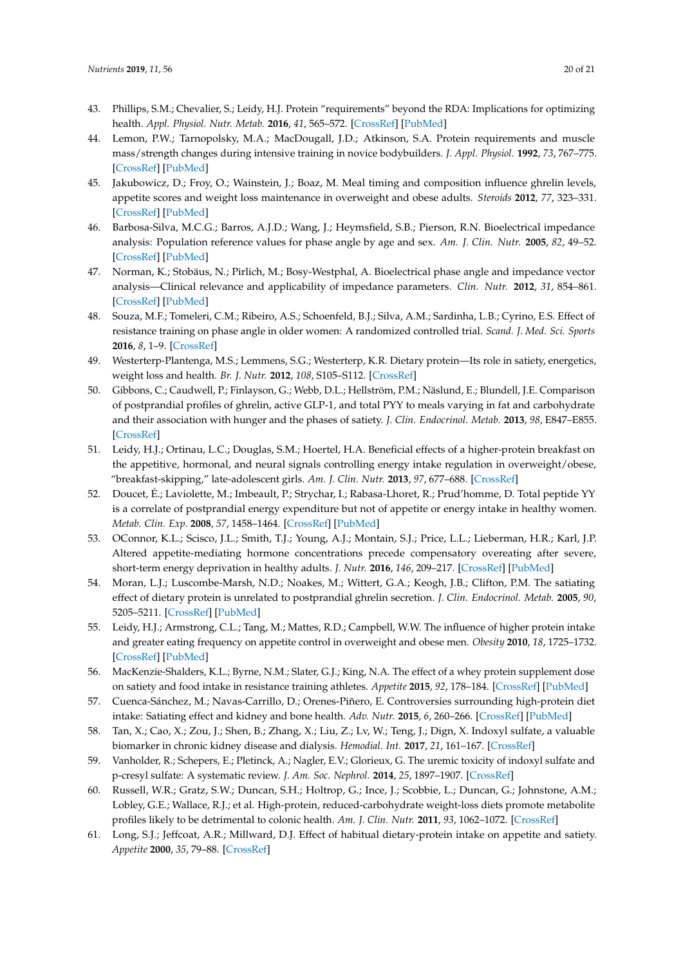- <span id="page-19-0"></span>43. Phillips, S.M.; Chevalier, S.; Leidy, H.J. Protein "requirements" beyond the RDA: Implications for optimizing health. *Appl. Physiol. Nutr. Metab.* **2016**, *41*, 565–572. [\[CrossRef\]](http://dx.doi.org/10.1139/apnm-2015-0550) [\[PubMed\]](http://www.ncbi.nlm.nih.gov/pubmed/26960445)
- <span id="page-19-1"></span>44. Lemon, P.W.; Tarnopolsky, M.A.; MacDougall, J.D.; Atkinson, S.A. Protein requirements and muscle mass/strength changes during intensive training in novice bodybuilders. *J. Appl. Physiol.* **1992**, *73*, 767–775. [\[CrossRef\]](http://dx.doi.org/10.1152/jappl.1992.73.2.767) [\[PubMed\]](http://www.ncbi.nlm.nih.gov/pubmed/1400008)
- <span id="page-19-2"></span>45. Jakubowicz, D.; Froy, O.; Wainstein, J.; Boaz, M. Meal timing and composition influence ghrelin levels, appetite scores and weight loss maintenance in overweight and obese adults. *Steroids* **2012**, *77*, 323–331. [\[CrossRef\]](http://dx.doi.org/10.1016/j.steroids.2011.12.006) [\[PubMed\]](http://www.ncbi.nlm.nih.gov/pubmed/22178258)
- <span id="page-19-3"></span>46. Barbosa-Silva, M.C.G.; Barros, A.J.D.; Wang, J.; Heymsfield, S.B.; Pierson, R.N. Bioelectrical impedance analysis: Population reference values for phase angle by age and sex. *Am. J. Clin. Nutr.* **2005**, *82*, 49–52. [\[CrossRef\]](http://dx.doi.org/10.1093/ajcn/82.1.49) [\[PubMed\]](http://www.ncbi.nlm.nih.gov/pubmed/16002799)
- 47. Norman, K.; Stobäus, N.; Pirlich, M.; Bosy-Westphal, A. Bioelectrical phase angle and impedance vector analysis—Clinical relevance and applicability of impedance parameters. *Clin. Nutr.* **2012**, *31*, 854–861. [\[CrossRef\]](http://dx.doi.org/10.1016/j.clnu.2012.05.008) [\[PubMed\]](http://www.ncbi.nlm.nih.gov/pubmed/22698802)
- <span id="page-19-4"></span>48. Souza, M.F.; Tomeleri, C.M.; Ribeiro, A.S.; Schoenfeld, B.J.; Silva, A.M.; Sardinha, L.B.; Cyrino, E.S. Effect of resistance training on phase angle in older women: A randomized controlled trial. *Scand. J. Med. Sci. Sports* **2016**, *8*, 1–9. [\[CrossRef\]](http://dx.doi.org/10.1111/sms.12745)
- <span id="page-19-5"></span>49. Westerterp-Plantenga, M.S.; Lemmens, S.G.; Westerterp, K.R. Dietary protein—Its role in satiety, energetics, weight loss and health. *Br. J. Nutr.* **2012**, *108*, S105–S112. [\[CrossRef\]](http://dx.doi.org/10.1017/S0007114512002589)
- 50. Gibbons, C.; Caudwell, P.; Finlayson, G.; Webb, D.L.; Hellström, P.M.; Näslund, E.; Blundell, J.E. Comparison of postprandial profiles of ghrelin, active GLP-1, and total PYY to meals varying in fat and carbohydrate and their association with hunger and the phases of satiety. *J. Clin. Endocrinol. Metab.* **2013**, *98*, E847–E855. [\[CrossRef\]](http://dx.doi.org/10.1210/jc.2012-3835)
- 51. Leidy, H.J.; Ortinau, L.C.; Douglas, S.M.; Hoertel, H.A. Beneficial effects of a higher-protein breakfast on the appetitive, hormonal, and neural signals controlling energy intake regulation in overweight/obese, "breakfast-skipping," late-adolescent girls. *Am. J. Clin. Nutr.* **2013**, *97*, 677–688. [\[CrossRef\]](http://dx.doi.org/10.3945/ajcn.112.053116)
- <span id="page-19-6"></span>52. Doucet, É.; Laviolette, M.; Imbeault, P.; Strychar, I.; Rabasa-Lhoret, R.; Prud'homme, D. Total peptide YY is a correlate of postprandial energy expenditure but not of appetite or energy intake in healthy women. *Metab. Clin. Exp.* **2008**, *57*, 1458–1464. [\[CrossRef\]](http://dx.doi.org/10.1016/j.metabol.2008.05.017) [\[PubMed\]](http://www.ncbi.nlm.nih.gov/pubmed/18803953)
- <span id="page-19-7"></span>53. OConnor, K.L.; Scisco, J.L.; Smith, T.J.; Young, A.J.; Montain, S.J.; Price, L.L.; Lieberman, H.R.; Karl, J.P. Altered appetite-mediating hormone concentrations precede compensatory overeating after severe, short-term energy deprivation in healthy adults. *J. Nutr.* **2016**, *146*, 209–217. [\[CrossRef\]](http://dx.doi.org/10.3945/jn.115.217976) [\[PubMed\]](http://www.ncbi.nlm.nih.gov/pubmed/26740683)
- <span id="page-19-8"></span>54. Moran, L.J.; Luscombe-Marsh, N.D.; Noakes, M.; Wittert, G.A.; Keogh, J.B.; Clifton, P.M. The satiating effect of dietary protein is unrelated to postprandial ghrelin secretion. *J. Clin. Endocrinol. Metab.* **2005**, *90*, 5205–5211. [\[CrossRef\]](http://dx.doi.org/10.1210/jc.2005-0701) [\[PubMed\]](http://www.ncbi.nlm.nih.gov/pubmed/16014402)
- <span id="page-19-9"></span>55. Leidy, H.J.; Armstrong, C.L.; Tang, M.; Mattes, R.D.; Campbell, W.W. The influence of higher protein intake and greater eating frequency on appetite control in overweight and obese men. *Obesity* **2010**, *18*, 1725–1732. [\[CrossRef\]](http://dx.doi.org/10.1038/oby.2010.45) [\[PubMed\]](http://www.ncbi.nlm.nih.gov/pubmed/20339363)
- <span id="page-19-10"></span>56. MacKenzie-Shalders, K.L.; Byrne, N.M.; Slater, G.J.; King, N.A. The effect of a whey protein supplement dose on satiety and food intake in resistance training athletes. *Appetite* **2015**, *92*, 178–184. [\[CrossRef\]](http://dx.doi.org/10.1016/j.appet.2015.05.007) [\[PubMed\]](http://www.ncbi.nlm.nih.gov/pubmed/25979566)
- <span id="page-19-11"></span>57. Cuenca-Sánchez, M.; Navas-Carrillo, D.; Orenes-Piñero, E. Controversies surrounding high-protein diet intake: Satiating effect and kidney and bone health. *Adv. Nutr.* **2015**, *6*, 260–266. [\[CrossRef\]](http://dx.doi.org/10.3945/an.114.007716) [\[PubMed\]](http://www.ncbi.nlm.nih.gov/pubmed/25979491)
- <span id="page-19-12"></span>58. Tan, X.; Cao, X.; Zou, J.; Shen, B.; Zhang, X.; Liu, Z.; Lv, W.; Teng, J.; Dign, X. Indoxyl sulfate, a valuable biomarker in chronic kidney disease and dialysis. *Hemodial. Int.* **2017**, *21*, 161–167. [\[CrossRef\]](http://dx.doi.org/10.1111/hdi.12483)
- <span id="page-19-13"></span>59. Vanholder, R.; Schepers, E.; Pletinck, A.; Nagler, E.V.; Glorieux, G. The uremic toxicity of indoxyl sulfate and p-cresyl sulfate: A systematic review. *J. Am. Soc. Nephrol.* **2014**, *25*, 1897–1907. [\[CrossRef\]](http://dx.doi.org/10.1681/ASN.2013101062)
- <span id="page-19-14"></span>60. Russell, W.R.; Gratz, S.W.; Duncan, S.H.; Holtrop, G.; Ince, J.; Scobbie, L.; Duncan, G.; Johnstone, A.M.; Lobley, G.E.; Wallace, R.J.; et al. High-protein, reduced-carbohydrate weight-loss diets promote metabolite profiles likely to be detrimental to colonic health. *Am. J. Clin. Nutr.* **2011**, *93*, 1062–1072. [\[CrossRef\]](http://dx.doi.org/10.3945/ajcn.110.002188)
- <span id="page-19-15"></span>61. Long, S.J.; Jeffcoat, A.R.; Millward, D.J. Effect of habitual dietary-protein intake on appetite and satiety. *Appetite* **2000**, *35*, 79–88. [\[CrossRef\]](http://dx.doi.org/10.1006/appe.2000.0332)